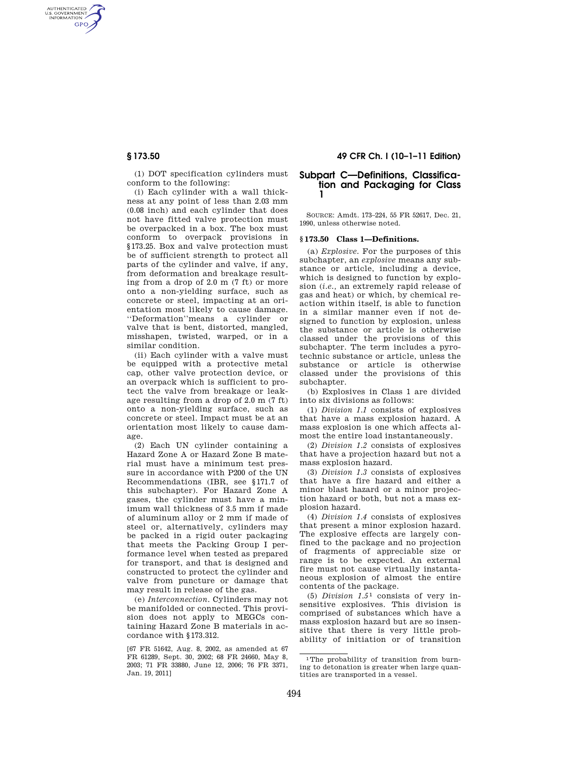AUTHENTICATED<br>U.S. GOVERNMENT<br>INFORMATION GPO

> (1) DOT specification cylinders must conform to the following:

> (i) Each cylinder with a wall thickness at any point of less than 2.03 mm (0.08 inch) and each cylinder that does not have fitted valve protection must be overpacked in a box. The box must conform to overpack provisions in §173.25. Box and valve protection must be of sufficient strength to protect all parts of the cylinder and valve, if any, from deformation and breakage resulting from a drop of 2.0 m (7 ft) or more onto a non-yielding surface, such as concrete or steel, impacting at an orientation most likely to cause damage. ''Deformation''means a cylinder or valve that is bent, distorted, mangled, misshapen, twisted, warped, or in a similar condition.

> (ii) Each cylinder with a valve must be equipped with a protective metal cap, other valve protection device, or an overpack which is sufficient to protect the valve from breakage or leakage resulting from a drop of 2.0 m (7 ft) onto a non-yielding surface, such as concrete or steel. Impact must be at an orientation most likely to cause damage.

> (2) Each UN cylinder containing a Hazard Zone A or Hazard Zone B material must have a minimum test pressure in accordance with P200 of the UN Recommendations (IBR, see §171.7 of this subchapter). For Hazard Zone A gases, the cylinder must have a minimum wall thickness of 3.5 mm if made of aluminum alloy or 2 mm if made of steel or, alternatively, cylinders may be packed in a rigid outer packaging that meets the Packing Group I performance level when tested as prepared for transport, and that is designed and constructed to protect the cylinder and valve from puncture or damage that may result in release of the gas.

> (e) *Interconnection.* Cylinders may not be manifolded or connected. This provision does not apply to MEGCs containing Hazard Zone B materials in accordance with §173.312.

### **§ 173.50 49 CFR Ch. I (10–1–11 Edition)**

### **Subpart C—Definitions, Classification and Packaging for Class 1**

SOURCE: Amdt. 173–224, 55 FR 52617, Dec. 21, 1990, unless otherwise noted.

## **§ 173.50 Class 1—Definitions.**

(a) *Explosive.* For the purposes of this subchapter, an *explosive* means any substance or article, including a device, which is designed to function by explosion (*i.e.,* an extremely rapid release of gas and heat) or which, by chemical reaction within itself, is able to function in a similar manner even if not designed to function by explosion, unless the substance or article is otherwise classed under the provisions of this subchapter. The term includes a pyrotechnic substance or article, unless the substance or article is otherwise classed under the provisions of this subchapter.

(b) Explosives in Class 1 are divided into six divisions as follows:

(1) *Division 1.1* consists of explosives that have a mass explosion hazard. A mass explosion is one which affects almost the entire load instantaneously.

(2) *Division 1.2* consists of explosives that have a projection hazard but not a mass explosion hazard.

(3) *Division 1.3* consists of explosives that have a fire hazard and either a minor blast hazard or a minor projection hazard or both, but not a mass explosion hazard.

(4) *Division 1.4* consists of explosives that present a minor explosion hazard. The explosive effects are largely confined to the package and no projection of fragments of appreciable size or range is to be expected. An external fire must not cause virtually instantaneous explosion of almost the entire contents of the package.

(5) *Division*  $1.5<sup>1</sup>$  consists of very insensitive explosives. This division is comprised of substances which have a mass explosion hazard but are so insensitive that there is very little probability of initiation or of transition

<sup>[67</sup> FR 51642, Aug. 8, 2002, as amended at 67 FR 61289, Sept. 30, 2002; 68 FR 24660, May 8, 2003; 71 FR 33880, June 12, 2006; 76 FR 3371, Jan. 19, 2011]

<sup>1</sup>The probability of transition from burning to detonation is greater when large quantities are transported in a vessel.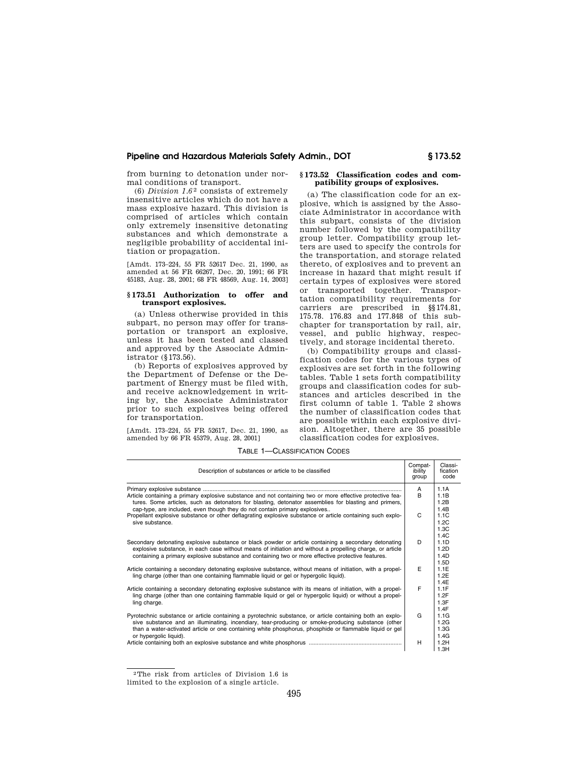from burning to detonation under normal conditions of transport.

(6) *Division 1.6* 2 consists of extremely insensitive articles which do not have a mass explosive hazard. This division is comprised of articles which contain only extremely insensitive detonating substances and which demonstrate a negligible probability of accidental initiation or propagation.

[Amdt. 173–224, 55 FR 52617 Dec. 21, 1990, as amended at 56 FR 66267, Dec. 20, 1991; 66 FR 45183, Aug. 28, 2001; 68 FR 48569, Aug. 14, 2003]

### **§ 173.51 Authorization to offer and transport explosives.**

(a) Unless otherwise provided in this subpart, no person may offer for transportation or transport an explosive, unless it has been tested and classed and approved by the Associate Administrator (§173.56).

(b) Reports of explosives approved by the Department of Defense or the Department of Energy must be filed with, and receive acknowledgement in writing by, the Associate Administrator prior to such explosives being offered for transportation.

[Amdt. 173–224, 55 FR 52617, Dec. 21, 1990, as amended by 66 FR 45379, Aug. 28, 2001]

### **§ 173.52 Classification codes and compatibility groups of explosives.**

(a) The classification code for an explosive, which is assigned by the Associate Administrator in accordance with this subpart, consists of the division number followed by the compatibility group letter. Compatibility group letters are used to specify the controls for the transportation, and storage related thereto, of explosives and to prevent an increase in hazard that might result if certain types of explosives were stored or transported together. Transportation compatibility requirements for carriers are prescribed in §§174.81, 175.78. 176.83 and 177.848 of this subchapter for transportation by rail, air, vessel, and public highway, respectively, and storage incidental thereto.

(b) Compatibility groups and classification codes for the various types of explosives are set forth in the following tables. Table 1 sets forth compatibility groups and classification codes for substances and articles described in the first column of table 1. Table 2 shows the number of classification codes that are possible within each explosive division. Altogether, there are 35 possible classification codes for explosives.

TABLE 1—CLASSIFICATION CODES

| Description of substances or article to be classified                                                      | Compat-<br>ibility<br>group | Classi-<br>fication<br>code |
|------------------------------------------------------------------------------------------------------------|-----------------------------|-----------------------------|
|                                                                                                            | A                           | 1.1A                        |
| Article containing a primary explosive substance and not containing two or more effective protective fea-  | R                           | 1.1B                        |
| tures. Some articles, such as detonators for blasting, detonator assemblies for blasting and primers,      |                             | 1.2B                        |
| cap-type, are included, even though they do not contain primary explosives                                 |                             | 1.4B                        |
| Propellant explosive substance or other deflagrating explosive substance or article containing such explo- | C                           | 1.1C                        |
| sive substance.                                                                                            |                             | 1.2C                        |
|                                                                                                            |                             | 1.3C                        |
|                                                                                                            |                             | 1.4C                        |
| Secondary detonating explosive substance or black powder or article containing a secondary detonating      | D                           | 1.1D                        |
| explosive substance, in each case without means of initiation and without a propelling charge, or article  |                             | 1.2D                        |
| containing a primary explosive substance and containing two or more effective protective features.         |                             | 1.4D                        |
|                                                                                                            | E                           | 1.5D                        |
| Article containing a secondary detonating explosive substance, without means of initiation, with a propel- |                             | 1.1E<br>1.2E                |
| ling charge (other than one containing flammable liquid or gel or hypergolic liquid).                      |                             |                             |
|                                                                                                            | F                           | 1.4E                        |
| Article containing a secondary detonating explosive substance with its means of initiation, with a propel- |                             | 1.1F<br>1.2F                |
| ling charge (other than one containing flammable liquid or gel or hypergolic liquid) or without a propel-  |                             | 1.3F                        |
| ling charge.                                                                                               |                             | 1.4F                        |
| Pyrotechnic substance or article containing a pyrotechnic substance, or article containing both an explo-  | G                           | 1.1G                        |
| sive substance and an illuminating, incendiary, tear-producing or smoke-producing substance (other         |                             | 1.2G                        |
| than a water-activated article or one containing white phosphorus, phosphide or flammable liquid or gel    |                             | 1.3G                        |
| or hypergolic liquid).                                                                                     |                             | 1.4G                        |
|                                                                                                            | н                           | 1.2H                        |
|                                                                                                            |                             | 1.3H                        |
|                                                                                                            |                             |                             |

<sup>2</sup>The risk from articles of Division 1.6 is limited to the explosion of a single article.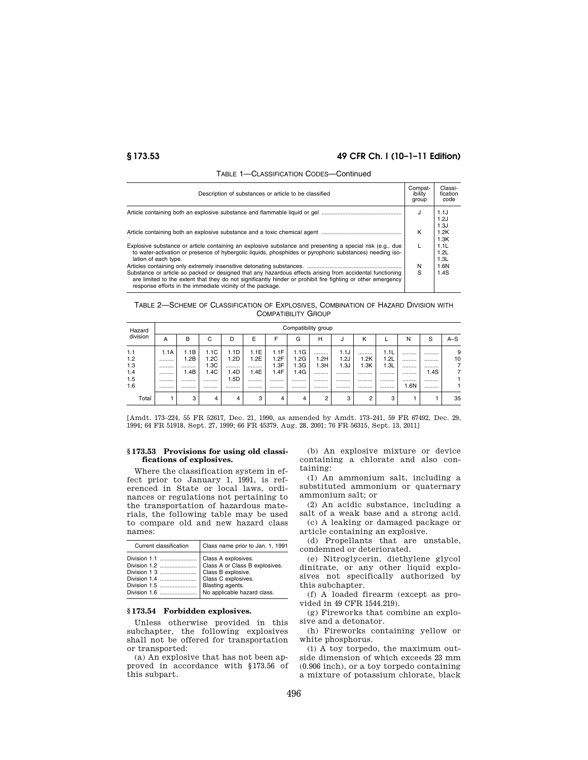## **§ 173.53 49 CFR Ch. I (10–1–11 Edition)**

### TABLE 1—CLASSIFICATION CODES—Continued

| Description of substances or article to be classified                                                                                                                                                                                                                                   | Compat-<br>ibility<br>group | Classi-<br>fication<br>code |
|-----------------------------------------------------------------------------------------------------------------------------------------------------------------------------------------------------------------------------------------------------------------------------------------|-----------------------------|-----------------------------|
|                                                                                                                                                                                                                                                                                         | J                           | 1.1J<br>1.2J<br>1.3J        |
|                                                                                                                                                                                                                                                                                         | κ                           | 1.2K<br>1.3K                |
| Explosive substance or article containing an explosive substance and presenting a special risk (e.g., due<br>to water-activation or presence of hybergolic liquids, phosphides or pyrophoric substances) needing iso-<br>lation of each type.                                           |                             | 1.1L<br>1.2L<br>1.3L        |
|                                                                                                                                                                                                                                                                                         | N                           | 1.6N                        |
| Substance or article so packed or designed that any hazardous effects arising from accidental functioning<br>are limited to the extent that they do not significantly hinder or prohibit fire fighting or other emergency<br>response efforts in the immediate vicinity of the package. | S                           | 1.4S                        |

| TABLE 2-SCHEME OF CLASSIFICATION OF EXPLOSIVES, COMBINATION OF HAZARD DIVISION WITH |  |
|-------------------------------------------------------------------------------------|--|
| <b>COMPATIBILITY GROUP</b>                                                          |  |

| Hazard   | Compatibility group |      |        |      |      |      |       |      |      |      |      |      |      |       |
|----------|---------------------|------|--------|------|------|------|-------|------|------|------|------|------|------|-------|
| division | A                   | B    | ⌒<br>U | D    | Е    | F    | G     | н    | U    | Κ    |      | N    | S    | $A-S$ |
| 1.1      | 1.1A                | 1.1B | 1.1C   | 1.1D | 1.1E | 1.1F | 1.1G  |      | 1.1J |      | 1.1L |      |      | 9     |
| 1.2      |                     | 1.2B | 1.2C   | 1.2D | 1.2E | 1.2F | i .2G | .2H  | 1.2J | .2K  | 1.2L |      |      | 10    |
| 1.3      |                     |      | 1.3C   |      |      | 1.3F | 1.3G  | 1.3H | 1.3J | ∣.3K | 1.3L |      |      |       |
| 1.4      |                     | 1.4B | 1.4C   | 1.4D | 1.4E | 1.4F | 1.4G  |      |      |      |      |      | 1.4S |       |
| 1.5      |                     |      |        | .5D  |      |      |       |      |      |      |      |      |      |       |
| 1.6      |                     |      |        |      |      |      |       |      |      |      |      | 1.6N |      |       |
| Total    |                     | 3    | 4      | 4    | 3    | 4    | 4     | C    | 3    | 2    | 3    |      |      | 35    |

[Amdt. 173–224, 55 FR 52617, Dec. 21, 1990, as amended by Amdt. 173–241, 59 FR 67492, Dec. 29, 1994; 64 FR 51918, Sept. 27, 1999; 66 FR 45379, Aug. 28, 2001; 76 FR 56315, Sept. 13, 2011]

### **§ 173.53 Provisions for using old classifications of explosives.**

Where the classification system in effect prior to January 1, 1991, is referenced in State or local laws, ordinances or regulations not pertaining to the transportation of hazardous materials, the following table may be used to compare old and new hazard class names:

| Current classification                                                  | Class name prior to Jan. 1, 1991                                         |
|-------------------------------------------------------------------------|--------------------------------------------------------------------------|
| Division 1.4    Class C explosives.<br>Division 1.5    Blasting agents. | Class A explosives.<br>Class B explosive.<br>No applicable hazard class. |

## **§ 173.54 Forbidden explosives.**

Unless otherwise provided in this subchapter, the following explosives shall not be offered for transportation or transported:

(a) An explosive that has not been approved in accordance with §173.56 of this subpart.

(b) An explosive mixture or device containing a chlorate and also containing:

(1) An ammonium salt, including a substituted ammonium or quaternary ammonium salt; or

(2) An acidic substance, including a salt of a weak base and a strong acid.

(c) A leaking or damaged package or article containing an explosive.

(d) Propellants that are unstable, condemned or deteriorated.

(e) Nitroglycerin, diethylene glycol dinitrate, or any other liquid explosives not specifically authorized by this subchapter.

(f) A loaded firearm (except as provided in 49 CFR 1544.219).

(g) Fireworks that combine an explosive and a detonator.

(h) Fireworks containing yellow or white phosphorus.

(i) A toy torpedo, the maximum outside dimension of which exceeds 23 mm (0.906 inch), or a toy torpedo containing a mixture of potassium chlorate, black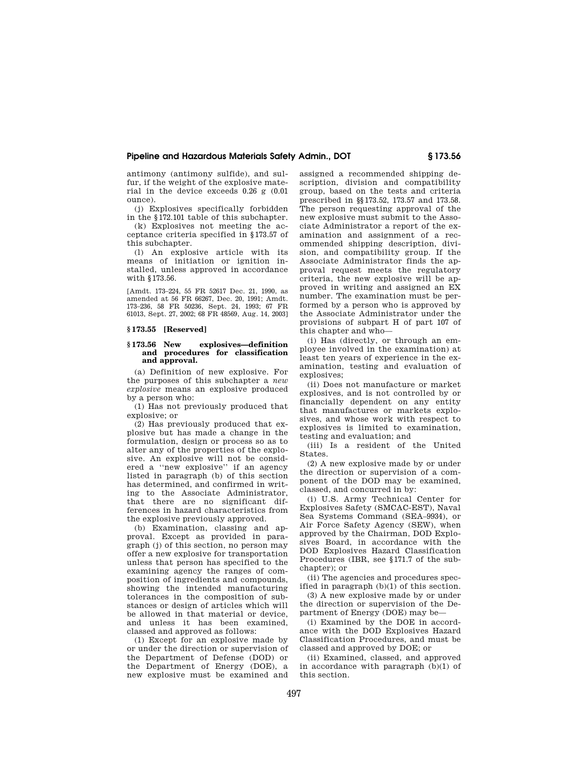antimony (antimony sulfide), and sulfur, if the weight of the explosive material in the device exceeds 0.26 g (0.01 ounce).

(j) Explosives specifically forbidden in the §172.101 table of this subchapter.

(k) Explosives not meeting the acceptance criteria specified in §173.57 of this subchapter.

(l) An explosive article with its means of initiation or ignition installed, unless approved in accordance with §173.56.

[Amdt. 173–224, 55 FR 52617 Dec. 21, 1990, as amended at 56 FR 66267, Dec. 20, 1991; Amdt. 173–236, 58 FR 50236, Sept. 24, 1993; 67 FR 61013, Sept. 27, 2002; 68 FR 48569, Aug. 14, 2003]

## **§ 173.55 [Reserved]**

### **§ 173.56 New explosives—definition and procedures for classification and approval.**

(a) Definition of new explosive. For the purposes of this subchapter a *new explosive* means an explosive produced by a person who:

(1) Has not previously produced that explosive; or

(2) Has previously produced that explosive but has made a change in the formulation, design or process so as to alter any of the properties of the explosive. An explosive will not be considered a ''new explosive'' if an agency listed in paragraph (b) of this section has determined, and confirmed in writing to the Associate Administrator, that there are no significant differences in hazard characteristics from the explosive previously approved.

(b) Examination, classing and approval. Except as provided in paragraph (j) of this section, no person may offer a new explosive for transportation unless that person has specified to the examining agency the ranges of composition of ingredients and compounds, showing the intended manufacturing tolerances in the composition of substances or design of articles which will be allowed in that material or device, and unless it has been examined, classed and approved as follows:

(1) Except for an explosive made by or under the direction or supervision of the Department of Defense (DOD) or the Department of Energy (DOE), a new explosive must be examined and assigned a recommended shipping description, division and compatibility group, based on the tests and criteria prescribed in §§173.52, 173.57 and 173.58. The person requesting approval of the new explosive must submit to the Associate Administrator a report of the examination and assignment of a recommended shipping description, division, and compatibility group. If the Associate Administrator finds the approval request meets the regulatory criteria, the new explosive will be approved in writing and assigned an EX number. The examination must be performed by a person who is approved by the Associate Administrator under the provisions of subpart H of part 107 of this chapter and who—

(i) Has (directly, or through an employee involved in the examination) at least ten years of experience in the examination, testing and evaluation of explosives;

(ii) Does not manufacture or market explosives, and is not controlled by or financially dependent on any entity that manufactures or markets explosives, and whose work with respect to explosives is limited to examination, testing and evaluation; and

(iii) Is a resident of the United States.

(2) A new explosive made by or under the direction or supervision of a component of the DOD may be examined, classed, and concurred in by:

(i) U.S. Army Technical Center for Explosives Safety (SMCAC-EST), Naval Sea Systems Command (SEA–9934), or Air Force Safety Agency (SEW), when approved by the Chairman, DOD Explosives Board, in accordance with the DOD Explosives Hazard Classification Procedures (IBR, see §171.7 of the subchapter); or

(ii) The agencies and procedures specified in paragraph (b)(1) of this section.

(3) A new explosive made by or under the direction or supervision of the Department of Energy (DOE) may be—

(i) Examined by the DOE in accordance with the DOD Explosives Hazard Classification Procedures, and must be classed and approved by DOE; or

(ii) Examined, classed, and approved in accordance with paragraph (b)(1) of this section.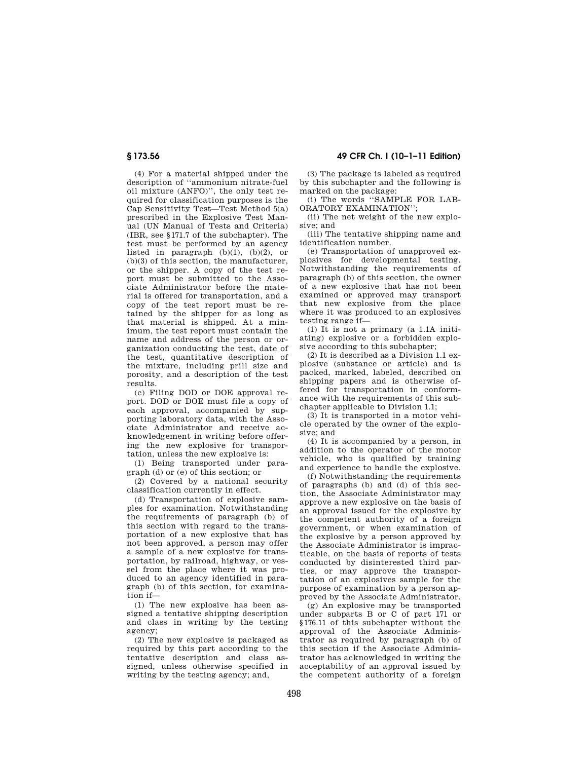(4) For a material shipped under the description of ''ammonium nitrate-fuel oil mixture (ANFO)'', the only test required for classification purposes is the Cap Sensitivity Test—Test Method 5(a) prescribed in the Explosive Test Manual (UN Manual of Tests and Criteria) (IBR, see §171.7 of the subchapter). The test must be performed by an agency listed in paragraph (b)(1), (b)(2), or (b)(3) of this section, the manufacturer, or the shipper. A copy of the test report must be submitted to the Associate Administrator before the material is offered for transportation, and a copy of the test report must be retained by the shipper for as long as that material is shipped. At a minimum, the test report must contain the name and address of the person or organization conducting the test, date of the test, quantitative description of the mixture, including prill size and porosity, and a description of the test results.

(c) Filing DOD or DOE approval report. DOD or DOE must file a copy of each approval, accompanied by supporting laboratory data, with the Associate Administrator and receive acknowledgement in writing before offering the new explosive for transportation, unless the new explosive is:

(1) Being transported under paragraph (d) or (e) of this section; or

(2) Covered by a national security classification currently in effect.

(d) Transportation of explosive samples for examination. Notwithstanding the requirements of paragraph (b) of this section with regard to the transportation of a new explosive that has not been approved, a person may offer a sample of a new explosive for transportation, by railroad, highway, or vessel from the place where it was produced to an agency identified in paragraph (b) of this section, for examination if—

(1) The new explosive has been assigned a tentative shipping description and class in writing by the testing agency;

(2) The new explosive is packaged as required by this part according to the tentative description and class assigned, unless otherwise specified in writing by the testing agency; and,

**§ 173.56 49 CFR Ch. I (10–1–11 Edition)** 

(3) The package is labeled as required by this subchapter and the following is marked on the package:

(i) The words ''SAMPLE FOR LAB-ORATORY EXAMINATION'';

(ii) The net weight of the new explosive; and

(iii) The tentative shipping name and identification number.

(e) Transportation of unapproved explosives for developmental testing. Notwithstanding the requirements of paragraph (b) of this section, the owner of a new explosive that has not been examined or approved may transport that new explosive from the place where it was produced to an explosives testing range if—

(1) It is not a primary (a 1.1A initiating) explosive or a forbidden explosive according to this subchapter;

(2) It is described as a Division 1.1 explosive (substance or article) and is packed, marked, labeled, described on shipping papers and is otherwise offered for transportation in conformance with the requirements of this subchapter applicable to Division 1.1;

(3) It is transported in a motor vehicle operated by the owner of the explosive; and

(4) It is accompanied by a person, in addition to the operator of the motor vehicle, who is qualified by training and experience to handle the explosive.

(f) Notwithstanding the requirements of paragraphs (b) and (d) of this section, the Associate Administrator may approve a new explosive on the basis of an approval issued for the explosive by the competent authority of a foreign government, or when examination of the explosive by a person approved by the Associate Administrator is impracticable, on the basis of reports of tests conducted by disinterested third parties, or may approve the transportation of an explosives sample for the purpose of examination by a person approved by the Associate Administrator.

(g) An explosive may be transported under subparts B or C of part 171 or §176.11 of this subchapter without the approval of the Associate Administrator as required by paragraph (b) of this section if the Associate Administrator has acknowledged in writing the acceptability of an approval issued by the competent authority of a foreign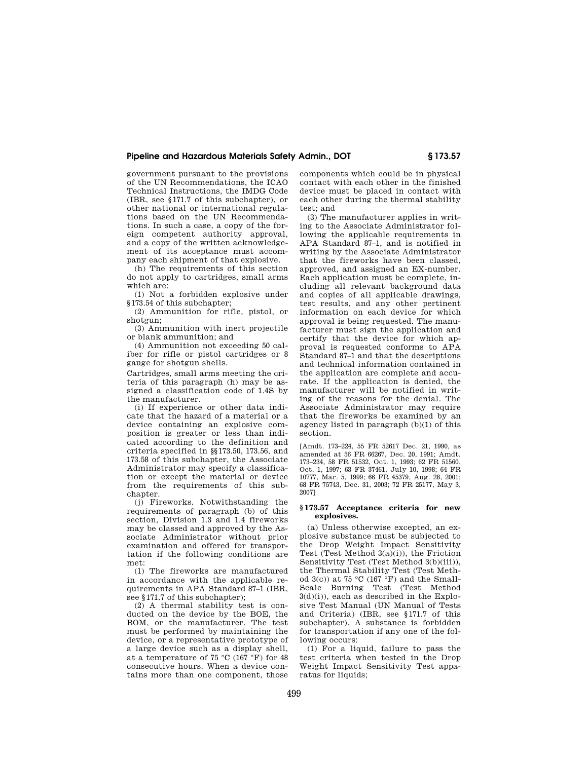government pursuant to the provisions of the UN Recommendations, the ICAO Technical Instructions, the IMDG Code (IBR, see §171.7 of this subchapter), or other national or international regulations based on the UN Recommendations. In such a case, a copy of the foreign competent authority approval, and a copy of the written acknowledgement of its acceptance must accompany each shipment of that explosive.

(h) The requirements of this section do not apply to cartridges, small arms which are:

(1) Not a forbidden explosive under §173.54 of this subchapter;

(2) Ammunition for rifle, pistol, or shotgun;

(3) Ammunition with inert projectile or blank ammunition; and

(4) Ammunition not exceeding 50 caliber for rifle or pistol cartridges or 8 gauge for shotgun shells.

Cartridges, small arms meeting the criteria of this paragraph (h) may be assigned a classification code of 1.4S by the manufacturer.

(i) If experience or other data indicate that the hazard of a material or a device containing an explosive composition is greater or less than indicated according to the definition and criteria specified in §§173.50, 173.56, and 173.58 of this subchapter, the Associate Administrator may specify a classification or except the material or device from the requirements of this subchapter.

(j) Fireworks. Notwithstanding the requirements of paragraph (b) of this section, Division 1.3 and 1.4 fireworks may be classed and approved by the Associate Administrator without prior examination and offered for transportation if the following conditions are met:

(1) The fireworks are manufactured in accordance with the applicable requirements in APA Standard 87–1 (IBR, see §171.7 of this subchapter);

(2) A thermal stability test is conducted on the device by the BOE, the BOM, or the manufacturer. The test must be performed by maintaining the device, or a representative prototype of a large device such as a display shell, at a temperature of 75 °C (167 °F) for 48 consecutive hours. When a device contains more than one component, those components which could be in physical contact with each other in the finished device must be placed in contact with each other during the thermal stability test; and

(3) The manufacturer applies in writing to the Associate Administrator following the applicable requirements in APA Standard 87–1, and is notified in writing by the Associate Administrator that the fireworks have been classed, approved, and assigned an EX-number. Each application must be complete, including all relevant background data and copies of all applicable drawings, test results, and any other pertinent information on each device for which approval is being requested. The manufacturer must sign the application and certify that the device for which approval is requested conforms to APA Standard 87–1 and that the descriptions and technical information contained in the application are complete and accurate. If the application is denied, the manufacturer will be notified in writing of the reasons for the denial. The Associate Administrator may require that the fireworks be examined by an agency listed in paragraph (b)(1) of this section.

[Amdt. 173–224, 55 FR 52617 Dec. 21, 1990, as amended at 56 FR 66267, Dec. 20, 1991; Amdt. 173–234, 58 FR 51532, Oct. 1, 1993; 62 FR 51560, Oct. 1, 1997; 63 FR 37461, July 10, 1998; 64 FR 10777, Mar. 5, 1999; 66 FR 45379, Aug. 28, 2001; 68 FR 75743, Dec. 31, 2003; 72 FR 25177, May 3, 2007]

### **§ 173.57 Acceptance criteria for new explosives.**

(a) Unless otherwise excepted, an explosive substance must be subjected to the Drop Weight Impact Sensitivity Test (Test Method 3(a)(i)), the Friction Sensitivity Test (Test Method 3(b)(iii)), the Thermal Stability Test (Test Method 3(c)) at 75 °C (167 °F) and the Small-Scale Burning Test (Test Method 3(d)(i)), each as described in the Explosive Test Manual (UN Manual of Tests and Criteria) (IBR, see §171.7 of this subchapter). A substance is forbidden for transportation if any one of the following occurs:

(1) For a liquid, failure to pass the test criteria when tested in the Drop Weight Impact Sensitivity Test apparatus for liquids;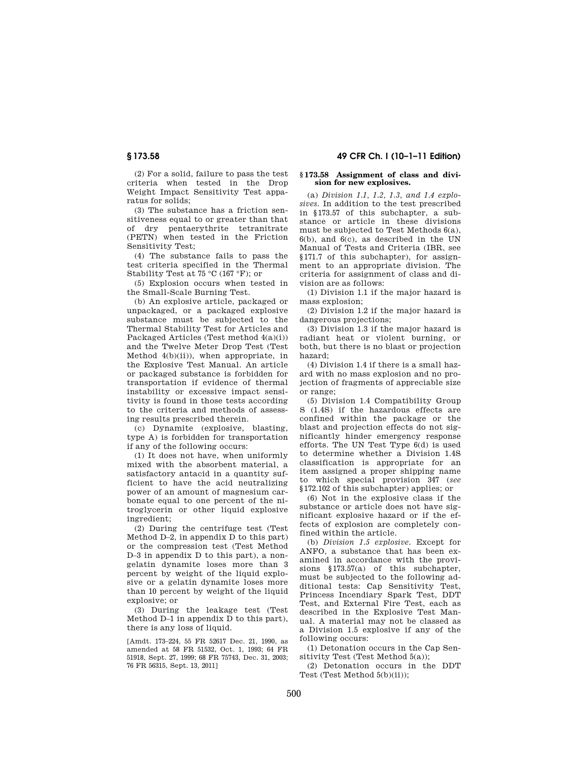**§ 173.58 49 CFR Ch. I (10–1–11 Edition)** 

(2) For a solid, failure to pass the test criteria when tested in the Drop Weight Impact Sensitivity Test apparatus for solids;

(3) The substance has a friction sensitiveness equal to or greater than that of dry pentaerythrite tetranitrate (PETN) when tested in the Friction Sensitivity Test;

(4) The substance fails to pass the test criteria specified in the Thermal Stability Test at 75 °C (167 °F); or

(5) Explosion occurs when tested in the Small-Scale Burning Test.

(b) An explosive article, packaged or unpackaged, or a packaged explosive substance must be subjected to the Thermal Stability Test for Articles and Packaged Articles (Test method 4(a)(i)) and the Twelve Meter Drop Test (Test Method 4(b)(ii)), when appropriate, in the Explosive Test Manual. An article or packaged substance is forbidden for transportation if evidence of thermal instability or excessive impact sensitivity is found in those tests according to the criteria and methods of assessing results prescribed therein.

(c) Dynamite (explosive, blasting, type A) is forbidden for transportation if any of the following occurs:

(1) It does not have, when uniformly mixed with the absorbent material, a satisfactory antacid in a quantity sufficient to have the acid neutralizing power of an amount of magnesium carbonate equal to one percent of the nitroglycerin or other liquid explosive ingredient;

(2) During the centrifuge test (Test Method D–2, in appendix D to this part) or the compression test (Test Method D–3 in appendix D to this part), a nongelatin dynamite loses more than 3 percent by weight of the liquid explosive or a gelatin dynamite loses more than 10 percent by weight of the liquid explosive; or

(3) During the leakage test (Test Method D–1 in appendix D to this part), there is any loss of liquid.

[Amdt. 173–224, 55 FR 52617 Dec. 21, 1990, as amended at 58 FR 51532, Oct. 1, 1993; 64 FR 51918, Sept. 27, 1999; 68 FR 75743, Dec. 31, 2003; 76 FR 56315, Sept. 13, 2011]

### **§ 173.58 Assignment of class and division for new explosives.**

(a) *Division 1.1, 1.2, 1.3, and 1.4 explosives.* In addition to the test prescribed in §173.57 of this subchapter, a substance or article in these divisions must be subjected to Test Methods 6(a), 6(b), and 6(c), as described in the UN Manual of Tests and Criteria (IBR, see §171.7 of this subchapter), for assignment to an appropriate division. The criteria for assignment of class and division are as follows:

(1) Division 1.1 if the major hazard is mass explosion;

(2) Division 1.2 if the major hazard is dangerous projections;

(3) Division 1.3 if the major hazard is radiant heat or violent burning, or both, but there is no blast or projection hazard;

(4) Division 1.4 if there is a small hazard with no mass explosion and no projection of fragments of appreciable size or range;

(5) Division 1.4 Compatibility Group S (1.4S) if the hazardous effects are confined within the package or the blast and projection effects do not significantly hinder emergency response efforts. The UN Test Type 6(d) is used to determine whether a Division 1.4S classification is appropriate for an item assigned a proper shipping name to which special provision 347 (*see*  §172.102 of this subchapter) applies; or

(6) Not in the explosive class if the substance or article does not have significant explosive hazard or if the effects of explosion are completely confined within the article.

(b) *Division 1.5 explosive.* Except for ANFO, a substance that has been examined in accordance with the provisions §173.57(a) of this subchapter, must be subjected to the following additional tests: Cap Sensitivity Test, Princess Incendiary Spark Test, DDT Test, and External Fire Test, each as described in the Explosive Test Manual. A material may not be classed as a Division 1.5 explosive if any of the following occurs:

(1) Detonation occurs in the Cap Sensitivity Test (Test Method 5(a));

(2) Detonation occurs in the DDT Test (Test Method 5(b)(ii));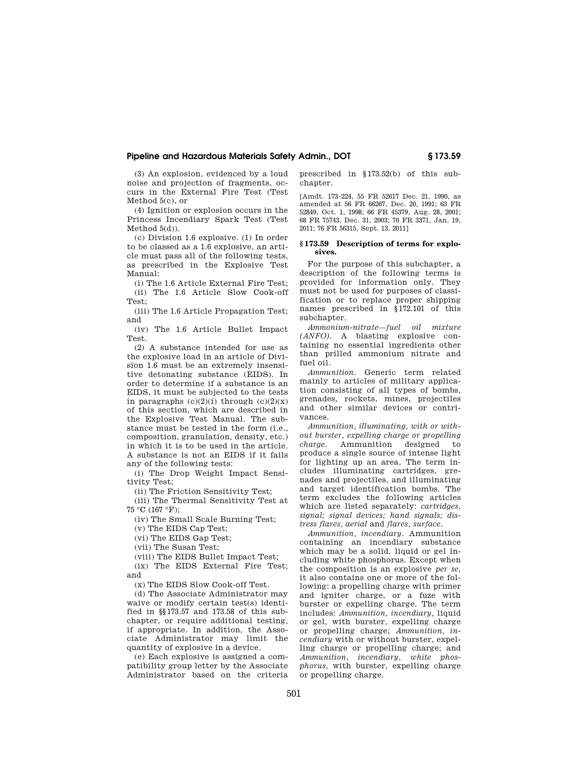(3) An explosion, evidenced by a loud noise and projection of fragments, occurs in the External Fire Test (Test Method 5(c), or

(4) Ignition or explosion occurs in the Princess Incendiary Spark Test (Test Method 5(d)).

(c) Division 1.6 explosive. (1) In order to be classed as a 1.6 explosive, an article must pass all of the following tests, as prescribed in the Explosive Test Manual:

(i) The 1.6 Article External Fire Test; (ii) The 1.6 Article Slow Cook-off Test;

(iii) The 1.6 Article Propagation Test; and

(iv) The 1.6 Article Bullet Impact Test.

(2) A substance intended for use as the explosive load in an article of Division 1.6 must be an extremely insensitive detonating substance (EIDS). In order to determine if a substance is an EIDS, it must be subjected to the tests in paragraphs  $(c)(2)(i)$  through  $(c)(2)(x)$ of this section, which are described in the Explosive Test Manual. The substance must be tested in the form (i.e., composition, granulation, density, etc.) in which it is to be used in the article. A substance is not an EIDS if it fails any of the following tests:

(i) The Drop Weight Impact Sensitivity Test;

(ii) The Friction Sensitivity Test;

(iii) The Thermal Sensitivity Test at 75 °C (167 °F);

(iv) The Small Scale Burning Test;

(v) The EIDS Cap Test;

(vi) The EIDS Gap Test;

(vii) The Susan Test;

(viii) The EIDS Bullet Impact Test;

(ix) The EIDS External Fire Test; and

(x) The EIDS Slow Cook-off Test.

(d) The Associate Administrator may waive or modify certain test(s) identified in §§173.57 and 173.58 of this subchapter, or require additional testing, if appropriate. In addition, the Associate Administrator may limit the quantity of explosive in a device.

(e) Each explosive is assigned a compatibility group letter by the Associate Administrator based on the criteria prescribed in §173.52(b) of this subchapter.

[Amdt. 173–224, 55 FR 52617 Dec. 21, 1990, as amended at 56 FR 66267, Dec. 20, 1991; 63 FR 52849, Oct. 1, 1998; 66 FR 45379, Aug. 28, 2001; 68 FR 75743, Dec. 31, 2003; 76 FR 3371, Jan. 19, 2011; 76 FR 56315, Sept. 13, 2011]

### **§ 173.59 Description of terms for explosives.**

For the purpose of this subchapter, a description of the following terms is provided for information only. They must not be used for purposes of classification or to replace proper shipping names prescribed in §172.101 of this subchapter.

*Ammonium-nitrate—fuel oil mixture (ANFO).* A blasting explosive containing no essential ingredients other than prilled ammonium nitrate and fuel oil.

*Ammunition.* Generic term related mainly to articles of military application consisting of all types of bombs, grenades, rockets, mines, projectiles and other similar devices or contrivances.

*Ammunition, illuminating, with or without burster, expelling charge or propelling charge.* Ammunition designed to produce a single source of intense light for lighting up an area. The term includes illuminating cartridges, grenades and projectiles, and illuminating and target identification bombs. The term excludes the following articles which are listed separately: *cartridges, signal; signal devices; hand signals; distress flares, aerial* and *flares, surface.* 

*Ammunition, incendiary.* Ammunition containing an incendiary substance which may be a solid, liquid or gel including white phosphorus. Except when the composition is an explosive *per se,*  it also contains one or more of the following: a propelling charge with primer and igniter charge, or a fuze with burster or expelling charge. The term includes: *Ammunition, incendiary,* liquid or gel, with burster, expelling charge or propelling charge; *Ammunition, incendiary* with or without burster, expelling charge or propelling charge; and *Ammunition, incendiary, white phosphorus,* with burster, expelling charge or propelling charge.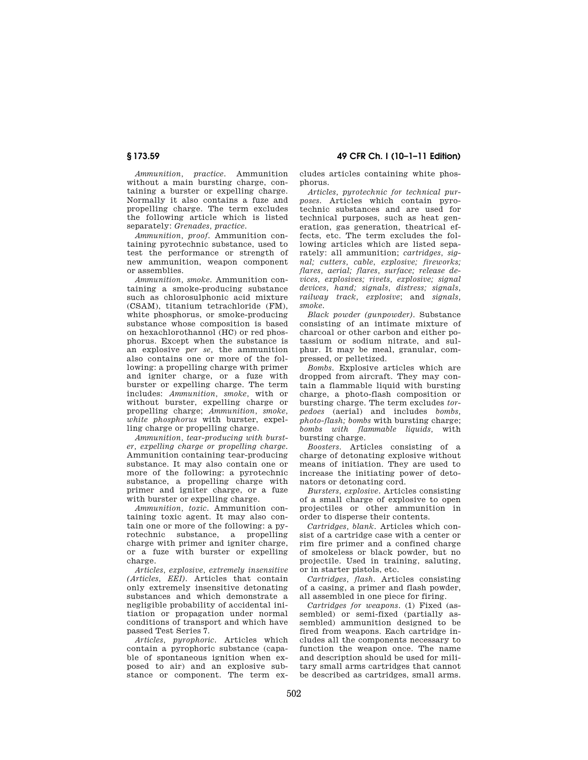*Ammunition, practice.* Ammunition without a main bursting charge, containing a burster or expelling charge. Normally it also contains a fuze and propelling charge. The term excludes the following article which is listed separately: *Grenades, practice.* 

*Ammunition, proof.* Ammunition containing pyrotechnic substance, used to test the performance or strength of new ammunition, weapon component or assemblies.

*Ammunition, smoke.* Ammunition containing a smoke-producing substance such as chlorosulphonic acid mixture (CSAM), titanium tetrachloride (FM), white phosphorus, or smoke-producing substance whose composition is based on hexachlorothannol (HC) or red phosphorus. Except when the substance is an explosive *per se,* the ammunition also contains one or more of the following: a propelling charge with primer and igniter charge, or a fuze with burster or expelling charge. The term includes: *Ammunition, smoke,* with or without burster, expelling charge or propelling charge; *Ammunition, smoke, white phosphorus* with burster, expelling charge or propelling charge.

*Ammunition, tear-producing with burster, expelling charge or propelling charge.*  Ammunition containing tear-producing substance. It may also contain one or more of the following: a pyrotechnic substance, a propelling charge with primer and igniter charge, or a fuze with burster or expelling charge.

*Ammunition, toxic.* Ammunition containing toxic agent. It may also contain one or more of the following: a pyrotechnic substance, a propelling charge with primer and igniter charge, or a fuze with burster or expelling charge.

*Articles, explosive, extremely insensitive (Articles, EEI).* Articles that contain only extremely insensitive detonating substances and which demonstrate a negligible probability of accidental initiation or propagation under normal conditions of transport and which have passed Test Series 7.

*Articles, pyrophoric.* Articles which contain a pyrophoric substance (capable of spontaneous ignition when exposed to air) and an explosive substance or component. The term excludes articles containing white phosphorus.

*Articles, pyrotechnic for technical purposes.* Articles which contain pyrotechnic substances and are used for technical purposes, such as heat generation, gas generation, theatrical effects, etc. The term excludes the following articles which are listed separately: all ammunition; *cartridges, signal; cutters, cable, explosive; fireworks; flares, aerial; flares, surface; release devices, explosives; rivets, explosive; signal devices, hand; signals, distress; signals, railway track, explosive*; and *signals, smoke.* 

*Black powder (gunpowder).* Substance consisting of an intimate mixture of charcoal or other carbon and either potassium or sodium nitrate, and sulphur. It may be meal, granular, compressed, or pelletized.

*Bombs.* Explosive articles which are dropped from aircraft. They may contain a flammable liquid with bursting charge, a photo-flash composition or bursting charge. The term excludes *torpedoes* (aerial) and includes *bombs, photo-flash; bombs* with bursting charge; *bombs with flammable liquids,* with bursting charge.

*Boosters.* Articles consisting of a charge of detonating explosive without means of initiation. They are used to increase the initiating power of detonators or detonating cord.

*Bursters, explosive.* Articles consisting of a small charge of explosive to open projectiles or other ammunition in order to disperse their contents.

*Cartridges, blank.* Articles which consist of a cartridge case with a center or rim fire primer and a confined charge of smokeless or black powder, but no projectile. Used in training, saluting, or in starter pistols, etc.

*Cartridges, flash.* Articles consisting of a casing, a primer and flash powder, all assembled in one piece for firing.

*Cartridges for weapons.* (1) Fixed (assembled) or semi-fixed (partially assembled) ammunition designed to be fired from weapons. Each cartridge includes all the components necessary to function the weapon once. The name and description should be used for military small arms cartridges that cannot be described as cartridges, small arms.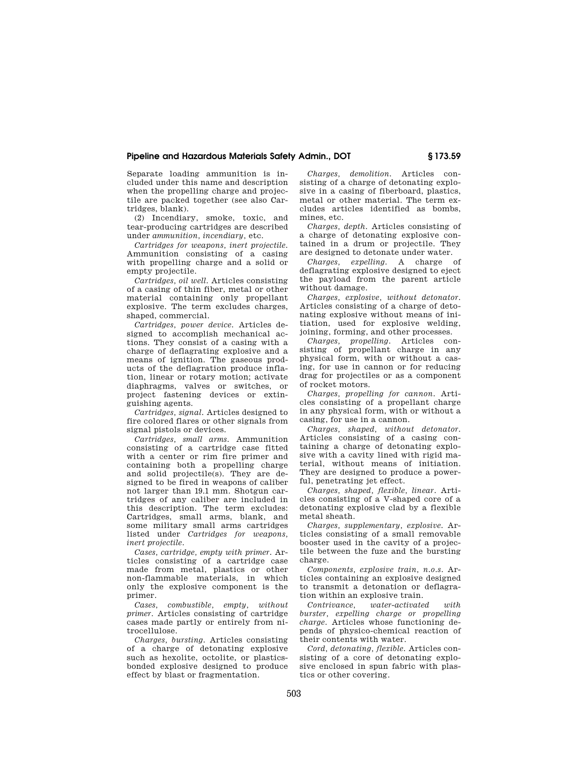Separate loading ammunition is included under this name and description when the propelling charge and projectile are packed together (see also Cartridges, blank).

(2) Incendiary, smoke, toxic, and tear-producing cartridges are described under *ammunition, incendiary,* etc.

*Cartridges for weapons, inert projectile.*  Ammunition consisting of a casing with propelling charge and a solid or empty projectile.

*Cartridges, oil well.* Articles consisting of a casing of thin fiber, metal or other material containing only propellant explosive. The term excludes charges, shaped, commercial.

*Cartridges, power device.* Articles designed to accomplish mechanical actions. They consist of a casing with a charge of deflagrating explosive and a means of ignition. The gaseous products of the deflagration produce inflation, linear or rotary motion; activate diaphragms, valves or switches, or project fastening devices or extinguishing agents.

*Cartridges, signal.* Articles designed to fire colored flares or other signals from signal pistols or devices.

*Cartridges, small arms.* Ammunition consisting of a cartridge case fitted with a center or rim fire primer and containing both a propelling charge and solid projectile(s). They are designed to be fired in weapons of caliber not larger than 19.1 mm. Shotgun cartridges of any caliber are included in this description. The term excludes: Cartridges, small arms, blank, and some military small arms cartridges listed under *Cartridges for weapons, inert projectile.* 

*Cases, cartridge, empty with primer.* Articles consisting of a cartridge case made from metal, plastics or other non-flammable materials, in which only the explosive component is the primer.

*Cases, combustible, empty, without primer.* Articles consisting of cartridge cases made partly or entirely from nitrocellulose.

*Charges, bursting.* Articles consisting of a charge of detonating explosive such as hexolite, octolite, or plasticsbonded explosive designed to produce effect by blast or fragmentation.

*Charges, demolition.* Articles consisting of a charge of detonating explosive in a casing of fiberboard, plastics, metal or other material. The term excludes articles identified as bombs, mines, etc.

*Charges, depth.* Articles consisting of a charge of detonating explosive contained in a drum or projectile. They are designed to detonate under water.

*Charges, expelling.* A charge of deflagrating explosive designed to eject the payload from the parent article without damage.

*Charges, explosive, without detonator.*  Articles consisting of a charge of detonating explosive without means of initiation, used for explosive welding, joining, forming, and other processes.

*Charges, propelling.* Articles consisting of propellant charge in any physical form, with or without a casing, for use in cannon or for reducing drag for projectiles or as a component of rocket motors.

*Charges, propelling for cannon.* Articles consisting of a propellant charge in any physical form, with or without a casing, for use in a cannon.

*Charges, shaped, without detonator.*  Articles consisting of a casing containing a charge of detonating explosive with a cavity lined with rigid material, without means of initiation. They are designed to produce a powerful, penetrating jet effect.

*Charges, shaped, flexible, linear.* Articles consisting of a V-shaped core of a detonating explosive clad by a flexible metal sheath.

*Charges, supplementary, explosive.* Articles consisting of a small removable booster used in the cavity of a projectile between the fuze and the bursting charge.

*Components, explosive train, n.o.s.* Articles containing an explosive designed to transmit a detonation or deflagration within an explosive train.

*Contrivance, water-activated with burster, expelling charge or propelling charge.* Articles whose functioning depends of physico-chemical reaction of their contents with water.

*Cord, detonating, flexible.* Articles consisting of a core of detonating explosive enclosed in spun fabric with plastics or other covering.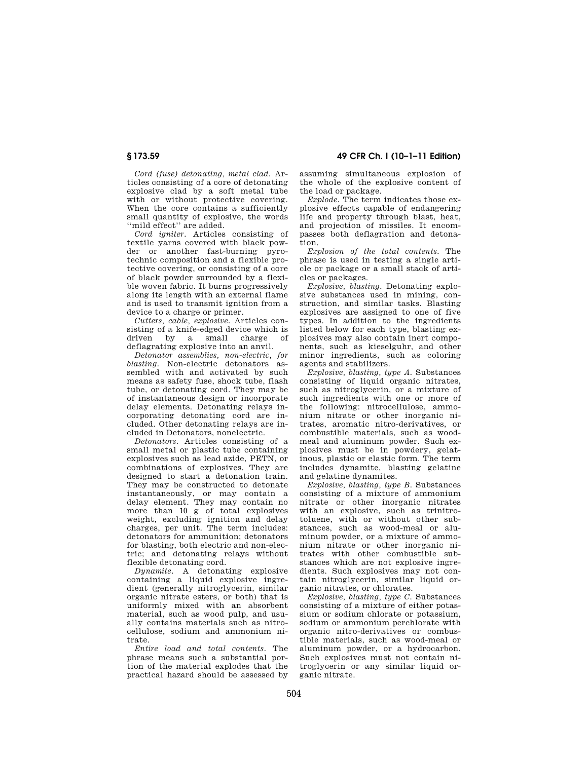*Cord (fuse) detonating, metal clad.* Articles consisting of a core of detonating explosive clad by a soft metal tube with or without protective covering. When the core contains a sufficiently small quantity of explosive, the words "mild effect" are added.

*Cord igniter.* Articles consisting of textile yarns covered with black powder or another fast-burning pyrotechnic composition and a flexible protective covering, or consisting of a core of black powder surrounded by a flexible woven fabric. It burns progressively along its length with an external flame and is used to transmit ignition from a device to a charge or primer.

*Cutters, cable, explosive.* Articles consisting of a knife-edged device which is driven by a small charge of deflagrating explosive into an anvil.

*Detonator assemblies, non-electric, for blasting.* Non-electric detonators assembled with and activated by such means as safety fuse, shock tube, flash tube, or detonating cord. They may be of instantaneous design or incorporate delay elements. Detonating relays incorporating detonating cord are included. Other detonating relays are included in Detonators, nonelectric.

*Detonators.* Articles consisting of a small metal or plastic tube containing explosives such as lead azide, PETN, or combinations of explosives. They are designed to start a detonation train. They may be constructed to detonate instantaneously, or may contain a delay element. They may contain no more than 10 g of total explosives weight, excluding ignition and delay charges, per unit. The term includes: detonators for ammunition; detonators for blasting, both electric and non-electric; and detonating relays without flexible detonating cord.

*Dynamite.* A detonating explosive containing a liquid explosive ingredient (generally nitroglycerin, similar organic nitrate esters, or both) that is uniformly mixed with an absorbent material, such as wood pulp, and usually contains materials such as nitrocellulose, sodium and ammonium nitrate.

*Entire load and total contents.* The phrase means such a substantial portion of the material explodes that the practical hazard should be assessed by

**§ 173.59 49 CFR Ch. I (10–1–11 Edition)** 

assuming simultaneous explosion of the whole of the explosive content of the load or package.

*Explode.* The term indicates those explosive effects capable of endangering life and property through blast, heat, and projection of missiles. It encompasses both deflagration and detonation.

*Explosion of the total contents.* The phrase is used in testing a single article or package or a small stack of articles or packages.

*Explosive, blasting.* Detonating explosive substances used in mining, construction, and similar tasks. Blasting explosives are assigned to one of five types. In addition to the ingredients listed below for each type, blasting explosives may also contain inert components, such as kieselguhr, and other minor ingredients, such as coloring agents and stabilizers.

*Explosive, blasting, type A.* Substances consisting of liquid organic nitrates, such as nitroglycerin, or a mixture of such ingredients with one or more of the following: nitrocellulose, ammonium nitrate or other inorganic nitrates, aromatic nitro-derivatives, or combustible materials, such as woodmeal and aluminum powder. Such explosives must be in powdery, gelatinous, plastic or elastic form. The term includes dynamite, blasting gelatine and gelatine dynamites.

*Explosive, blasting, type B.* Substances consisting of a mixture of ammonium nitrate or other inorganic nitrates with an explosive, such as trinitrotoluene, with or without other substances, such as wood-meal or aluminum powder, or a mixture of ammonium nitrate or other inorganic nitrates with other combustible substances which are not explosive ingredients. Such explosives may not contain nitroglycerin, similar liquid organic nitrates, or chlorates.

*Explosive, blasting, type C.* Substances consisting of a mixture of either potassium or sodium chlorate or potassium, sodium or ammonium perchlorate with organic nitro-derivatives or combustible materials, such as wood-meal or aluminum powder, or a hydrocarbon. Such explosives must not contain nitroglycerin or any similar liquid organic nitrate.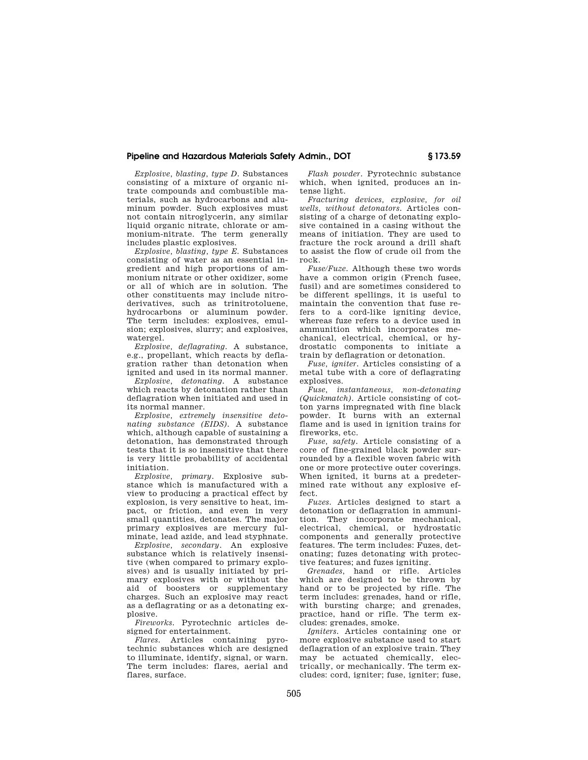*Explosive, blasting, type D.* Substances consisting of a mixture of organic nitrate compounds and combustible materials, such as hydrocarbons and aluminum powder. Such explosives must not contain nitroglycerin, any similar liquid organic nitrate, chlorate or ammonium-nitrate. The term generally includes plastic explosives.

*Explosive, blasting, type E.* Substances consisting of water as an essential ingredient and high proportions of ammonium nitrate or other oxidizer, some or all of which are in solution. The other constituents may include nitroderivatives, such as trinitrotoluene, hydrocarbons or aluminum powder. The term includes: explosives, emulsion; explosives, slurry; and explosives, watergel

*Explosive, deflagrating.* A substance, e.g., propellant, which reacts by deflagration rather than detonation when ignited and used in its normal manner.

*Explosive, detonating.* A substance which reacts by detonation rather than deflagration when initiated and used in its normal manner.

*Explosive, extremely insensitive detonating substance (EIDS).* A substance which, although capable of sustaining a detonation, has demonstrated through tests that it is so insensitive that there is very little probability of accidental initiation.

*Explosive, primary.* Explosive substance which is manufactured with a view to producing a practical effect by explosion, is very sensitive to heat, impact, or friction, and even in very small quantities, detonates. The major primary explosives are mercury fulminate, lead azide, and lead styphnate.

*Explosive, secondary.* An explosive substance which is relatively insensitive (when compared to primary explosives) and is usually initiated by primary explosives with or without the aid of boosters or supplementary charges. Such an explosive may react as a deflagrating or as a detonating explosive.

*Fireworks.* Pyrotechnic articles designed for entertainment.

*Flares.* Articles containing pyrotechnic substances which are designed to illuminate, identify, signal, or warn. The term includes: flares, aerial and flares, surface.

*Flash powder.* Pyrotechnic substance which, when ignited, produces an intense light.

*Fracturing devices, explosive, for oil wells, without detonators.* Articles consisting of a charge of detonating explosive contained in a casing without the means of initiation. They are used to fracture the rock around a drill shaft to assist the flow of crude oil from the rock.

*Fuse/Fuze.* Although these two words have a common origin (French fusee, fusil) and are sometimes considered to be different spellings, it is useful to maintain the convention that fuse refers to a cord-like igniting device, whereas fuze refers to a device used in ammunition which incorporates mechanical, electrical, chemical, or hydrostatic components to initiate a train by deflagration or detonation.

*Fuse, igniter.* Articles consisting of a metal tube with a core of deflagrating explosives.

*Fuse, instantaneous, non-detonating (Quickmatch).* Article consisting of cotton yarns impregnated with fine black powder. It burns with an external flame and is used in ignition trains for fireworks, etc.

*Fuse, safety.* Article consisting of a core of fine-grained black powder surrounded by a flexible woven fabric with one or more protective outer coverings. When ignited, it burns at a predetermined rate without any explosive effect.

*Fuzes.* Articles designed to start a detonation or deflagration in ammunition. They incorporate mechanical, electrical, chemical, or hydrostatic components and generally protective features. The term includes: Fuzes, detonating; fuzes detonating with protective features; and fuzes igniting.

*Grenades,* hand or rifle. Articles which are designed to be thrown by hand or to be projected by rifle. The term includes: grenades, hand or rifle, with bursting charge; and grenades, practice, hand or rifle. The term excludes: grenades, smoke.

*Igniters.* Articles containing one or more explosive substance used to start deflagration of an explosive train. They may be actuated chemically, electrically, or mechanically. The term excludes: cord, igniter; fuse, igniter; fuse,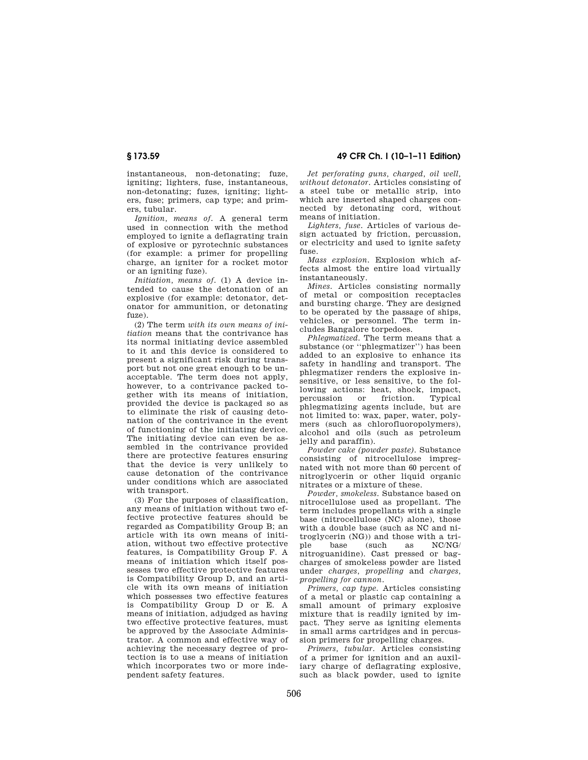instantaneous, non-detonating; fuze, igniting; lighters, fuse, instantaneous, non-detonating; fuzes, igniting; lighters, fuse; primers, cap type; and primers, tubular.

*Ignition, means of.* A general term used in connection with the method employed to ignite a deflagrating train of explosive or pyrotechnic substances (for example: a primer for propelling charge, an igniter for a rocket motor or an igniting fuze).

*Initiation, means of.* (1) A device intended to cause the detonation of an explosive (for example: detonator, detonator for ammunition, or detonating fuze).

(2) The term *with its own means of initiation* means that the contrivance has its normal initiating device assembled to it and this device is considered to present a significant risk during transport but not one great enough to be unacceptable. The term does not apply, however, to a contrivance packed together with its means of initiation, provided the device is packaged so as to eliminate the risk of causing detonation of the contrivance in the event of functioning of the initiating device. The initiating device can even be assembled in the contrivance provided there are protective features ensuring that the device is very unlikely to cause detonation of the contrivance under conditions which are associated with transport.

(3) For the purposes of classification, any means of initiation without two effective protective features should be regarded as Compatibility Group B; an article with its own means of initiation, without two effective protective features, is Compatibility Group F. A means of initiation which itself possesses two effective protective features is Compatibility Group D, and an article with its own means of initiation which possesses two effective features is Compatibility Group D or E. A means of initiation, adjudged as having two effective protective features, must be approved by the Associate Administrator. A common and effective way of achieving the necessary degree of protection is to use a means of initiation which incorporates two or more independent safety features.

**§ 173.59 49 CFR Ch. I (10–1–11 Edition)** 

*Jet perforating guns, charged, oil well, without detonator.* Articles consisting of a steel tube or metallic strip, into which are inserted shaped charges connected by detonating cord, without means of initiation.

*Lighters, fuse.* Articles of various design actuated by friction, percussion, or electricity and used to ignite safety fuse.

*Mass explosion.* Explosion which affects almost the entire load virtually instantaneously.

*Mines.* Articles consisting normally of metal or composition receptacles and bursting charge. They are designed to be operated by the passage of ships, vehicles, or personnel. The term includes Bangalore torpedoes.

*Phlegmatized.* The term means that a substance (or ''phlegmatizer'') has been added to an explosive to enhance its safety in handling and transport. The phlegmatizer renders the explosive insensitive, or less sensitive, to the following actions: heat, shock, impact, percussion or friction. Typical percussion or friction. Typical phlegmatizing agents include, but are not limited to: wax, paper, water, polymers (such as chlorofluoropolymers), alcohol and oils (such as petroleum jelly and paraffin).

*Powder cake (powder paste).* Substance consisting of nitrocellulose impregnated with not more than 60 percent of nitroglycerin or other liquid organic nitrates or a mixture of these.

*Powder, smokeless.* Substance based on nitrocellulose used as propellant. The term includes propellants with a single base (nitrocellulose (NC) alone), those with a double base (such as NC and nitroglycerin  $(NG)$ ) and those with a tri-<br>ple base (such as  $NC/NG/$ base (such as NC/NG/ nitroguanidine). Cast pressed or bagcharges of smokeless powder are listed under *charges, propelling* and *charges, propelling for cannon.* 

*Primers, cap type.* Articles consisting of a metal or plastic cap containing a small amount of primary explosive mixture that is readily ignited by impact. They serve as igniting elements in small arms cartridges and in percussion primers for propelling charges.

*Primers, tubular.* Articles consisting of a primer for ignition and an auxiliary charge of deflagrating explosive, such as black powder, used to ignite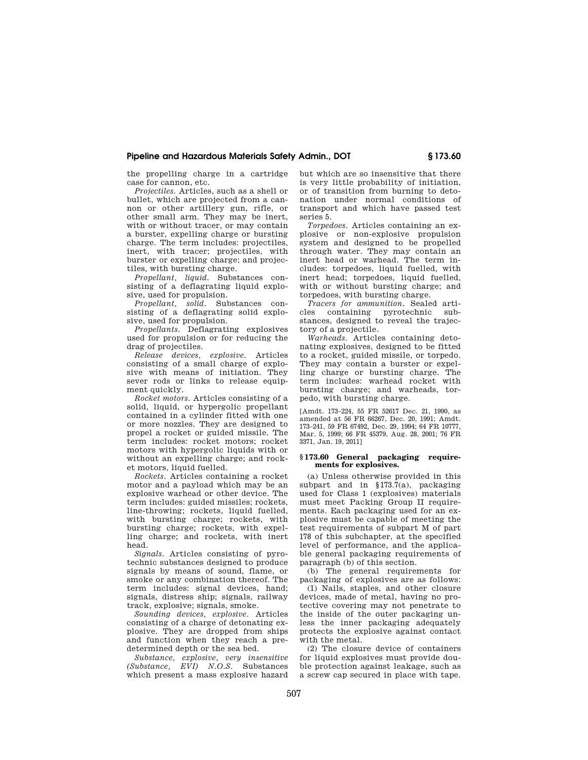the propelling charge in a cartridge case for cannon, etc.

*Projectiles.* Articles, such as a shell or bullet, which are projected from a cannon or other artillery gun, rifle, or other small arm. They may be inert, with or without tracer, or may contain a burster, expelling charge or bursting charge. The term includes: projectiles, inert, with tracer; projectiles, with burster or expelling charge; and projectiles, with bursting charge.

*Propellant, liquid.* Substances consisting of a deflagrating liquid explosive, used for propulsion.

*Propellant, solid.* Substances consisting of a deflagrating solid explosive, used for propulsion.

*Propellants.* Deflagrating explosives used for propulsion or for reducing the drag of projectiles.

*Release devices, explosive.* Articles consisting of a small charge of explosive with means of initiation. They sever rods or links to release equipment quickly.

*Rocket motors.* Articles consisting of a solid, liquid, or hypergolic propellant contained in a cylinder fitted with one or more nozzles. They are designed to propel a rocket or guided missile. The term includes: rocket motors; rocket motors with hypergolic liquids with or without an expelling charge; and rocket motors, liquid fuelled.

*Rockets.* Articles containing a rocket motor and a payload which may be an explosive warhead or other device. The term includes: guided missiles; rockets, line-throwing; rockets, liquid fuelled, with bursting charge; rockets, with bursting charge; rockets, with expelling charge; and rockets, with inert head.

*Signals.* Articles consisting of pyrotechnic substances designed to produce signals by means of sound, flame, or smoke or any combination thereof. The term includes: signal devices, hand; signals, distress ship; signals, railway track, explosive; signals, smoke.

*Sounding devices, explosive.* Articles consisting of a charge of detonating explosive. They are dropped from ships and function when they reach a predetermined depth or the sea bed.

*Substance, explosive, very insensitive (Substance, EVI) N.O.S.* Substances which present a mass explosive hazard but which are so insensitive that there is very little probability of initiation, or of transition from burning to detonation under normal conditions of transport and which have passed test series 5.

*Torpedoes.* Articles containing an explosive or non-explosive propulsion system and designed to be propelled through water. They may contain an inert head or warhead. The term includes: torpedoes, liquid fuelled, with inert head; torpedoes, liquid fuelled, with or without bursting charge; and torpedoes, with bursting charge.

*Tracers for ammunition.* Sealed articles containing pyrotechnic substances, designed to reveal the trajectory of a projectile.

*Warheads.* Articles containing detonating explosives, designed to be fitted to a rocket, guided missile, or torpedo. They may contain a burster or expelling charge or bursting charge. The term includes: warhead rocket with bursting charge; and warheads, torpedo, with bursting charge.

[Amdt. 173–224, 55 FR 52617 Dec. 21, 1990, as amended at 56 FR 66267, Dec. 20, 1991; Amdt. 173–241, 59 FR 67492, Dec. 29, 1994; 64 FR 10777, Mar. 5, 1999; 66 FR 45379, Aug. 28, 2001; 76 FR 3371, Jan. 19, 2011]

### **§ 173.60 General packaging requirements for explosives.**

(a) Unless otherwise provided in this subpart and in  $$173.7(a)$ , packaging used for Class 1 (explosives) materials must meet Packing Group II requirements. Each packaging used for an explosive must be capable of meeting the test requirements of subpart M of part 178 of this subchapter, at the specified level of performance, and the applicable general packaging requirements of paragraph (b) of this section.

(b) The general requirements for packaging of explosives are as follows:

(1) Nails, staples, and other closure devices, made of metal, having no protective covering may not penetrate to the inside of the outer packaging unless the inner packaging adequately protects the explosive against contact with the metal.

(2) The closure device of containers for liquid explosives must provide double protection against leakage, such as a screw cap secured in place with tape.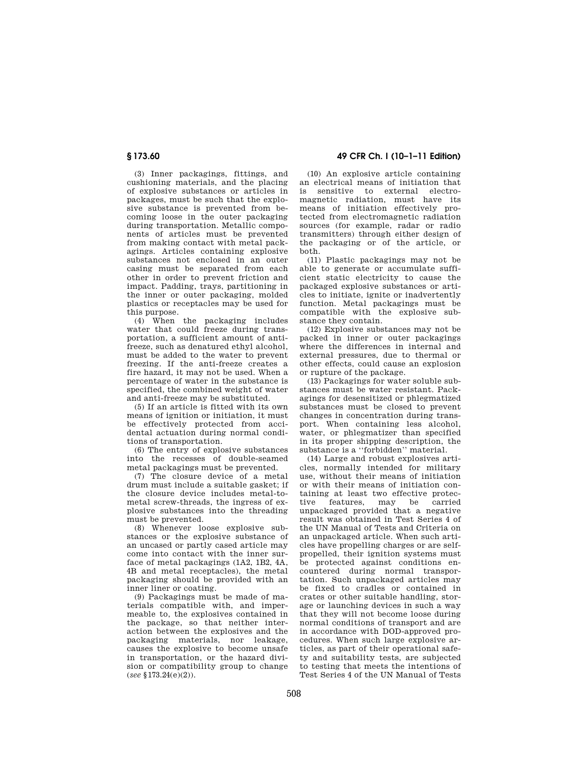(3) Inner packagings, fittings, and cushioning materials, and the placing of explosive substances or articles in packages, must be such that the explosive substance is prevented from becoming loose in the outer packaging during transportation. Metallic components of articles must be prevented from making contact with metal packagings. Articles containing explosive substances not enclosed in an outer casing must be separated from each other in order to prevent friction and impact. Padding, trays, partitioning in the inner or outer packaging, molded plastics or receptacles may be used for this purpose.

(4) When the packaging includes water that could freeze during transportation, a sufficient amount of antifreeze, such as denatured ethyl alcohol, must be added to the water to prevent freezing. If the anti-freeze creates a fire hazard, it may not be used. When a percentage of water in the substance is specified, the combined weight of water and anti-freeze may be substituted.

(5) If an article is fitted with its own means of ignition or initiation, it must be effectively protected from accidental actuation during normal conditions of transportation.

(6) The entry of explosive substances into the recesses of double-seamed metal packagings must be prevented.

(7) The closure device of a metal drum must include a suitable gasket; if the closure device includes metal-tometal screw-threads, the ingress of explosive substances into the threading must be prevented.

(8) Whenever loose explosive substances or the explosive substance of an uncased or partly cased article may come into contact with the inner surface of metal packagings (1A2, 1B2, 4A, 4B and metal receptacles), the metal packaging should be provided with an inner liner or coating.

(9) Packagings must be made of materials compatible with, and impermeable to, the explosives contained in the package, so that neither interaction between the explosives and the packaging materials, nor leakage, causes the explosive to become unsafe in transportation, or the hazard division or compatibility group to change (*see* §173.24(e)(2)).

## **§ 173.60 49 CFR Ch. I (10–1–11 Edition)**

(10) An explosive article containing an electrical means of initiation that is sensitive to external electromagnetic radiation, must have its means of initiation effectively protected from electromagnetic radiation sources (for example, radar or radio transmitters) through either design of the packaging or of the article, or both.

(11) Plastic packagings may not be able to generate or accumulate sufficient static electricity to cause the packaged explosive substances or articles to initiate, ignite or inadvertently function. Metal packagings must be compatible with the explosive substance they contain.

(12) Explosive substances may not be packed in inner or outer packagings where the differences in internal and external pressures, due to thermal or other effects, could cause an explosion or rupture of the package.

(13) Packagings for water soluble substances must be water resistant. Packagings for desensitized or phlegmatized substances must be closed to prevent changes in concentration during transport. When containing less alcohol, water, or phlegmatizer than specified in its proper shipping description, the substance is a ''forbidden'' material.

(14) Large and robust explosives articles, normally intended for military use, without their means of initiation or with their means of initiation containing at least two effective protec-<br>tive features, may be carried may be carried unpackaged provided that a negative result was obtained in Test Series 4 of the UN Manual of Tests and Criteria on an unpackaged article. When such articles have propelling charges or are selfpropelled, their ignition systems must be protected against conditions encountered during normal transportation. Such unpackaged articles may be fixed to cradles or contained in crates or other suitable handling, storage or launching devices in such a way that they will not become loose during normal conditions of transport and are in accordance with DOD-approved procedures. When such large explosive articles, as part of their operational safety and suitability tests, are subjected to testing that meets the intentions of Test Series 4 of the UN Manual of Tests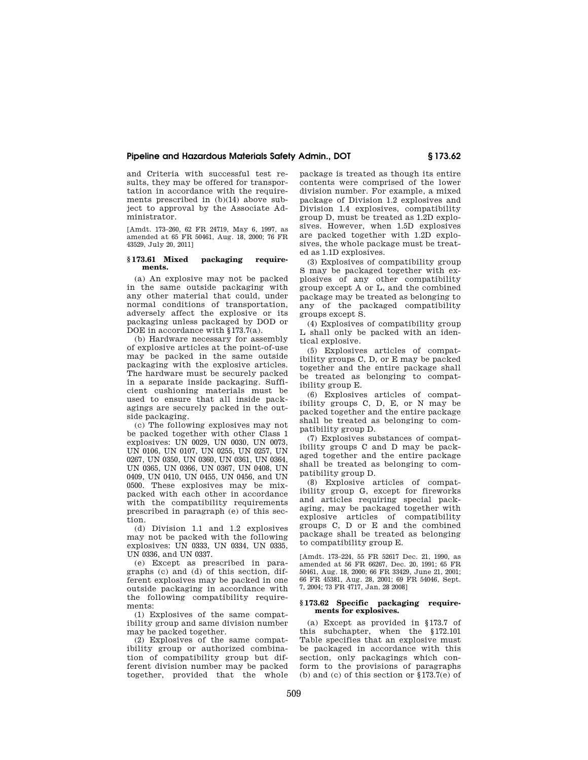and Criteria with successful test results, they may be offered for transportation in accordance with the requirements prescribed in (b)(14) above subject to approval by the Associate Administrator.

[Amdt. 173–260, 62 FR 24719, May 6, 1997, as amended at 65 FR 50461, Aug. 18, 2000; 76 FR 43529, July 20, 2011]

### **§ 173.61 Mixed packaging requirements.**

(a) An explosive may not be packed in the same outside packaging with any other material that could, under normal conditions of transportation, adversely affect the explosive or its packaging unless packaged by DOD or DOE in accordance with §173.7(a).

(b) Hardware necessary for assembly of explosive articles at the point-of-use may be packed in the same outside packaging with the explosive articles. The hardware must be securely packed in a separate inside packaging. Sufficient cushioning materials must be used to ensure that all inside packagings are securely packed in the outside packaging.

(c) The following explosives may not be packed together with other Class 1 explosives: UN 0029, UN 0030, UN 0073, UN 0106, UN 0107, UN 0255, UN 0257, UN 0267, UN 0350, UN 0360, UN 0361, UN 0364, UN 0365, UN 0366, UN 0367, UN 0408, UN 0409, UN 0410, UN 0455, UN 0456, and UN 0500. These explosives may be mixpacked with each other in accordance with the compatibility requirements prescribed in paragraph (e) of this section.

(d) Division 1.1 and 1.2 explosives may not be packed with the following explosives: UN 0333, UN 0334, UN 0335, UN 0336, and UN 0337.

(e) Except as prescribed in paragraphs (c) and (d) of this section, different explosives may be packed in one outside packaging in accordance with the following compatibility requirements:

(1) Explosives of the same compatibility group and same division number may be packed together.

(2) Explosives of the same compatibility group or authorized combination of compatibility group but different division number may be packed together, provided that the whole

package is treated as though its entire contents were comprised of the lower division number. For example, a mixed package of Division 1.2 explosives and Division 1.4 explosives, compatibility group D, must be treated as 1.2D explosives. However, when 1.5D explosives are packed together with 1.2D explosives, the whole package must be treated as 1.1D explosives.

(3) Explosives of compatibility group S may be packaged together with explosives of any other compatibility group except A or L, and the combined package may be treated as belonging to any of the packaged compatibility groups except S.

(4) Explosives of compatibility group L shall only be packed with an identical explosive.

(5) Explosives articles of compatibility groups C, D, or E may be packed together and the entire package shall be treated as belonging to compatibility group E.

(6) Explosives articles of compatibility groups C, D, E, or N may be packed together and the entire package shall be treated as belonging to compatibility group D.

(7) Explosives substances of compatibility groups C and D may be packaged together and the entire package shall be treated as belonging to compatibility group D.

(8) Explosive articles of compatibility group G, except for fireworks and articles requiring special packaging, may be packaged together with explosive articles of compatibility groups C, D or E and the combined package shall be treated as belonging to compatibility group E.

[Amdt. 173–224, 55 FR 52617 Dec. 21, 1990, as amended at 56 FR 66267, Dec. 20, 1991; 65 FR 50461, Aug. 18, 2000; 66 FR 33429, June 21, 2001; 66 FR 45381, Aug. 28, 2001; 69 FR 54046, Sept. 7, 2004; 73 FR 4717, Jan. 28 2008]

### **§ 173.62 Specific packaging requirements for explosives.**

(a) Except as provided in §173.7 of this subchapter, when the §172.101 Table specifies that an explosive must be packaged in accordance with this section, only packagings which conform to the provisions of paragraphs (b) and (c) of this section or  $\S 173.7(e)$  of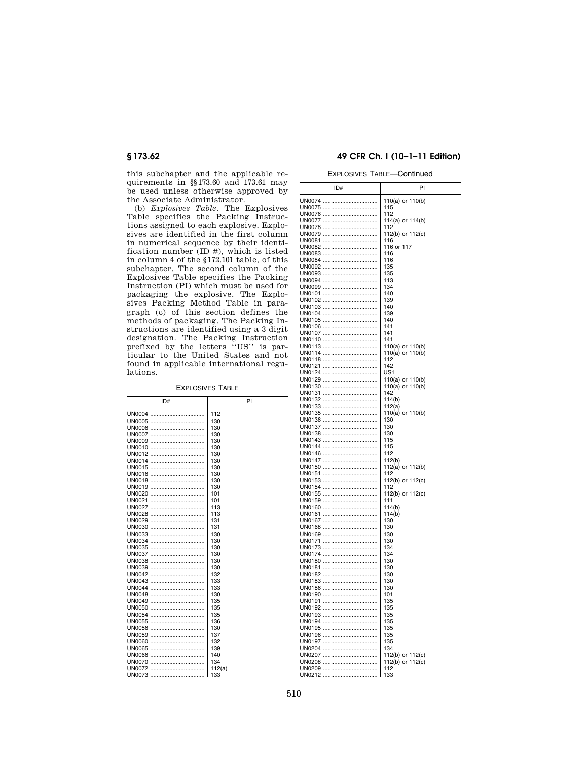this subchapter and the applicable requirements in §§173.60 and 173.61 may be used unless otherwise approved by the Associate Administrator.

(b) *Explosives Table.* The Explosives Table specifies the Packing Instructions assigned to each explosive. Explosives are identified in the first column in numerical sequence by their identification number (ID #), which is listed in column 4 of the §172.101 table, of this subchapter. The second column of the Explosives Table specifies the Packing Instruction (PI) which must be used for packaging the explosive. The Explosives Packing Method Table in paragraph (c) of this section defines the methods of packaging. The Packing Instructions are identified using a 3 digit designation. The Packing Instruction prefixed by the letters ''US'' is particular to the United States and not found in applicable international regulations.

EXPLOSIVES TABLE

| ID# | PI     |
|-----|--------|
|     |        |
|     | 112    |
|     | 130    |
|     | 130    |
|     | 130    |
|     | 130    |
|     | 130    |
|     | 130    |
|     | 130    |
|     | 130    |
|     | 130    |
|     | 130    |
|     | 130    |
|     | 101    |
|     | 101    |
|     | 113    |
|     | 113    |
|     | 131    |
|     | 131    |
|     | 130    |
|     | 130    |
|     | 130    |
|     | 130    |
|     | 130    |
|     | 130    |
|     | 132    |
|     | 133    |
|     | 133    |
|     | 130    |
|     | 135    |
|     | 135    |
|     | 135    |
|     | 136    |
|     | 130    |
|     | 137    |
|     | 132    |
|     | 139    |
|     | 140    |
|     | 134    |
|     | 112(a) |
|     | 133    |
|     |        |

# **§ 173.62 49 CFR Ch. I (10–1–11 Edition)**

EXPLOSIVES TABLE—Continued

| ID#                  | PI                         |
|----------------------|----------------------------|
|                      | 110(a) or 110(b)           |
|                      | 115                        |
|                      | 112                        |
| <b>UN0077</b><br>    | 114(a) or 114(b)           |
|                      | 112                        |
|                      | 112(b) or 112(c)           |
| UN0081<br>           | 116                        |
|                      | 116 or 117                 |
|                      | 116                        |
| UN0084<br>           | 116<br>135                 |
|                      | 135                        |
|                      | 113                        |
|                      | 134                        |
| UN0101<br>           | 140                        |
|                      | 139                        |
|                      | 140                        |
| UN0104               | 139                        |
|                      | 140                        |
|                      | 141                        |
| UN0107<br>           | 141<br>141                 |
|                      | 110(a) or 110(b)           |
|                      | 110(a) or 110(b)           |
|                      | 112                        |
| UN0121<br>           | 142                        |
|                      | US <sub>1</sub>            |
|                      | 110(a) or 110(b)           |
|                      | 110(a) or 110(b)           |
|                      | 142                        |
|                      | 114(b)                     |
|                      | 112(a)                     |
|                      | 110(a) or 110(b)<br>130    |
| UN0136               | 130                        |
| UN0138               | 130                        |
|                      | 115                        |
|                      | 115                        |
| UN0146               | 112                        |
| UN0147<br>           | 112(b)<br>112(a) or 112(b) |
| UN0150               | 112                        |
|                      | 112(b) or 112(c)           |
| UN0154               | 112                        |
|                      | 112(b) or 112(c)           |
| UN0159               | 111                        |
| UN0161               | 114(b)<br>114(b)           |
| <br>UN0167<br>       | 130                        |
|                      | 130                        |
|                      | 130                        |
| UN0171<br>           | 130                        |
| UN0173<br>           | 134                        |
|                      | 134                        |
| UN0180<br><br>UN0181 | 130<br>130                 |
| <br>UN0182           | 130                        |
| UN0183<br>           | 130                        |
| UN0186               | 130                        |
| UN0190<br>           | 101                        |
| UN0191               | 135                        |
| UN0192<br>           | 135                        |
| UN0193               | 135                        |
|                      | 135<br>135                 |
| UN0195<br>           | 135                        |
| UN0197<br>           | 135                        |
| UN0204<br>           | 134                        |
| UN0207<br>           | 112(b) or 112(c)           |
| <b>UN0208</b><br>    | 112(b) or 112(c)           |
| UN0209<br>           | 112                        |
| UN0212               | 133                        |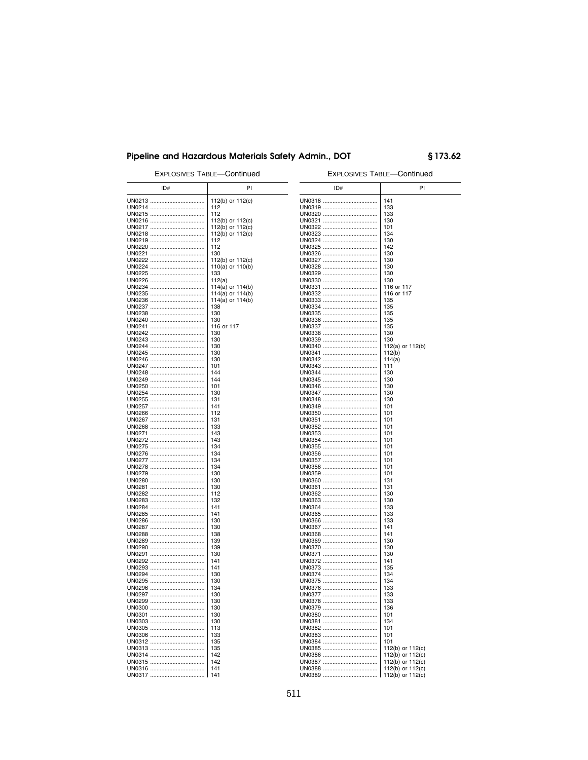§173.62

| <b>EXPLOSIVES TABLE-Continued</b> |                                          | EXPLOSIVES TABLE-Continued |                                        |  |  |
|-----------------------------------|------------------------------------------|----------------------------|----------------------------------------|--|--|
| ID#                               | PI                                       | ID#                        | PI                                     |  |  |
| UN0213                            | 112(b) or 112(c)                         |                            | 141                                    |  |  |
| UN0214                            | 112                                      |                            | 133                                    |  |  |
| UN0215                            | 112                                      |                            | 133                                    |  |  |
| UN0216<br>UN0217                  | 112(b) or $112(c)$<br>112(b) or $112(c)$ | UN0321                     | 130<br>101                             |  |  |
| UN0218                            | 112(b) or 112(c)                         |                            | 134                                    |  |  |
| UN0219                            | 112                                      |                            | 130                                    |  |  |
|                                   | 112                                      |                            | 142                                    |  |  |
|                                   | 130                                      |                            | 130                                    |  |  |
|                                   | 112(b) or 112(c)                         | UN0327                     | 130                                    |  |  |
|                                   | 110(a) or $110(b)$<br>133                | UN0329                     | 130<br>130                             |  |  |
| UN0226                            | 112(a)                                   |                            | 130                                    |  |  |
| UN0234                            | 114(a) or 114(b)                         |                            | 116 or 117                             |  |  |
| UN0235                            | 114(a) or 114(b)                         |                            | 116 or 117                             |  |  |
| UN0236                            | 114(a) or 114(b)                         |                            | 135                                    |  |  |
| UN0237                            | 138                                      |                            | 135                                    |  |  |
| UN0238<br>UN0240                  | 130<br>130                               |                            | 135<br>135                             |  |  |
| UN0241                            | 116 or 117                               |                            | 135                                    |  |  |
|                                   | 130                                      |                            | 130                                    |  |  |
| UN0243                            | 130                                      |                            | 130                                    |  |  |
| UN0244                            | 130                                      |                            | 112(a) or 112(b)                       |  |  |
| UN0245                            | 130                                      | UN0341                     | 112(b)                                 |  |  |
| UN0246<br>UN0247                  | 130<br>101                               | UN0342                     | 114(a)<br>111                          |  |  |
|                                   | 144                                      |                            | 130                                    |  |  |
| UN0249                            | 144                                      | UN0345                     | 130                                    |  |  |
|                                   | 101                                      |                            | 130                                    |  |  |
|                                   | 130                                      |                            | 130                                    |  |  |
|                                   | 131                                      |                            | 130                                    |  |  |
| UN0257                            | 141<br>112                               |                            | 101<br>101                             |  |  |
| UN0267                            | 131                                      | UN0351                     | 101                                    |  |  |
| UN0268                            | 133                                      |                            | 101                                    |  |  |
| UN0271                            | 143                                      |                            | 101                                    |  |  |
|                                   | 143                                      | UN0354                     | 101                                    |  |  |
| UN0275                            | 134                                      |                            | 101                                    |  |  |
| UN0276                            | 134                                      | UN0356                     | 101                                    |  |  |
| UN0278                            | 134<br>134                               |                            | 101<br>101                             |  |  |
| UN0279                            | 130                                      |                            | 101                                    |  |  |
|                                   | 130                                      |                            | 131                                    |  |  |
| UN0281                            | 130                                      |                            | 131                                    |  |  |
|                                   | 112                                      | UN0362                     | 130                                    |  |  |
| UN0283                            | 132                                      |                            | 130                                    |  |  |
| UN0284<br>UN0285                  | 141<br>141                               |                            | 133<br>133                             |  |  |
| UN0286                            | 130                                      |                            | 133                                    |  |  |
| UN0287                            | 130                                      |                            | 141                                    |  |  |
|                                   | 138                                      | UN0368                     | 141                                    |  |  |
| UN0289                            | 139                                      | UN0369                     | 130                                    |  |  |
|                                   | 139                                      |                            | 130                                    |  |  |
| UN0291                            | 130<br>141                               | UN0372                     | 130<br>141                             |  |  |
| UN0293                            | 141                                      |                            | 135                                    |  |  |
| UN0294                            | 130                                      | UN0374                     | 134                                    |  |  |
| UN0295                            | 130                                      | UN0375                     | 134                                    |  |  |
| UN0296                            | 134                                      |                            | 133                                    |  |  |
|                                   | 130                                      |                            | 133                                    |  |  |
|                                   | 130                                      | UN0378                     | 133                                    |  |  |
| UN0301                            | 130<br>130                               |                            | 136<br>101                             |  |  |
|                                   | 130                                      |                            | 134                                    |  |  |
|                                   | 113                                      |                            | 101                                    |  |  |
|                                   | 133                                      |                            | 101                                    |  |  |
| UN0312                            | 135                                      |                            | 101                                    |  |  |
|                                   | 135                                      |                            | 112(b) or $112(c)$                     |  |  |
| UN0314                            | 142                                      | UN0386                     | 112(b) or 112(c)                       |  |  |
| UN0315<br>UN0316                  | 142<br>141                               |                            | 112(b) or 112(c)<br>112(b) or $112(c)$ |  |  |
|                                   |                                          |                            | 112(b) or 112(c)                       |  |  |
|                                   |                                          |                            |                                        |  |  |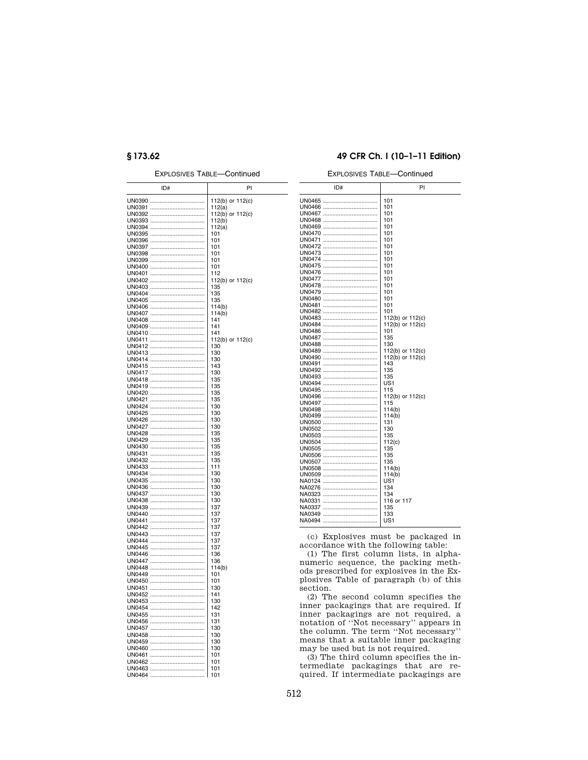## EXPLOSIVES TABLE—Continued

| ID#                  | PI                      |
|----------------------|-------------------------|
| UN0390               | 112(b) or 112(c)        |
| UN0391<br>           | 112(a)                  |
|                      | 112(b) or 112(c)        |
| UN0394               | 112(b)<br>112(a)        |
| <br>UN0395           | 101                     |
|                      | 101                     |
| <b>UN0397</b><br>    | 101                     |
|                      | 101                     |
| UN0399<br>           | 101<br>101              |
| UN0400<br>UN0401<br> | 112                     |
| UN0402               | 112(b) or 112(c)        |
|                      | 135                     |
| UN0404<br>           | 135<br>135              |
| UN0405               | 114(b)                  |
| <b>UN0407</b>        | 114(b)                  |
|                      | 141                     |
| UN0409<br>           | 141                     |
| UN0410<br>UN0411<br> | 141<br>112(b) or 112(c) |
| UN0412               | 130                     |
| UN0413<br>           | 130                     |
| <b>UN0414</b>        | 130                     |
| UN0415<br>UN0417     | 143<br>130              |
|                      | 135                     |
| UN0419<br>           | 135                     |
|                      | 135                     |
| UN0421<br>           | 135                     |
|                      | 130<br>130              |
|                      | 130                     |
| UN0427<br>           | 130                     |
|                      | 135                     |
|                      | 135                     |
| UN0431               | 135<br>135              |
| <br>UN0432           | 135                     |
|                      | 111                     |
| UN0434               | 130                     |
| UN0435               | 130<br>130              |
| UN0436<br>UN0437<br> | 130                     |
| UN0438               | 130                     |
| UN0439               | 137                     |
| UN0440               | 137                     |
| UN0441<br>UN0442     | 137<br>137              |
| UN0443               | 137                     |
| UN0444               | 137                     |
| UN0445               | 137                     |
| UN0446<br>UN0447     | 136                     |
| <br>UN0448           | 136<br>114(b)           |
| UN0449               | 101                     |
|                      | 101                     |
| UN0451<br>           | 130                     |
| UN0452               | 141<br>130              |
| UN0453               | 142                     |
| UN0455               | 131                     |
| UN0456               | 131                     |
| UN0457               | 130                     |
| UN0458<br>UN0459     | 130<br>130              |
| UN0460<br>           | 130                     |
| UN0461               | 101                     |
| UN0462<br>           | 101                     |
| UN0463               | 101                     |
| UN0464<br>           | 101                     |

## **§ 173.62 49 CFR Ch. I (10–1–11 Edition)**

EXPLOSIVES TABLE—Continued

| ID#        | PI               |
|------------|------------------|
| UN0465     | 101              |
|            | 101              |
| UN0467     | 101              |
|            | 101              |
| UN0469     | 101              |
| UN0470     | 101              |
|            | 101              |
| UN0472     | 101              |
| UN0473     | 101              |
|            | 101              |
| UN0475     | 101              |
|            | 101              |
|            | 101              |
| UN0478     | 101              |
| UN0479     | 101              |
|            | 101              |
| UN0481     | 101              |
| UN0482     | 101              |
| UN0483     | 112(b) or 112(c) |
|            | 112(b) or 112(c) |
| UN0486     | 101              |
|            | 135              |
| UN0488     | 130              |
| UN0489     | 112(b) or 112(c) |
| UN0490     | 112(b) or 112(c) |
| UN0491     | 143              |
| UN0492     | 135              |
| UN0493     | 135              |
| UN0494     | US1              |
|            | 115              |
| UN0496     | 112(b) or 112(c) |
| UN0497     | 115              |
| UN0498     | 114(b)           |
| UN0499     | 114(b)           |
|            | 131              |
| UN0502     | 130              |
|            | 135              |
|            | 112(c)           |
|            | 135              |
|            | 135              |
|            | 135              |
|            | 114(b)           |
|            | 114(b)           |
| NA0124     | US1              |
| NA0276     | 134              |
|            | 134              |
| NA0331     | 116 or 117       |
| NA0337<br> | 135              |
| NA0349     | 133              |
|            | US <sub>1</sub>  |

(c) Explosives must be packaged in accordance with the following table:

(1) The first column lists, in alphanumeric sequence, the packing methods prescribed for explosives in the Explosives Table of paragraph (b) of this section.

(2) The second column specifies the inner packagings that are required. If inner packagings are not required, a notation of ''Not necessary'' appears in the column. The term ''Not necessary'' means that a suitable inner packaging may be used but is not required.

(3) The third column specifies the intermediate packagings that are required. If intermediate packagings are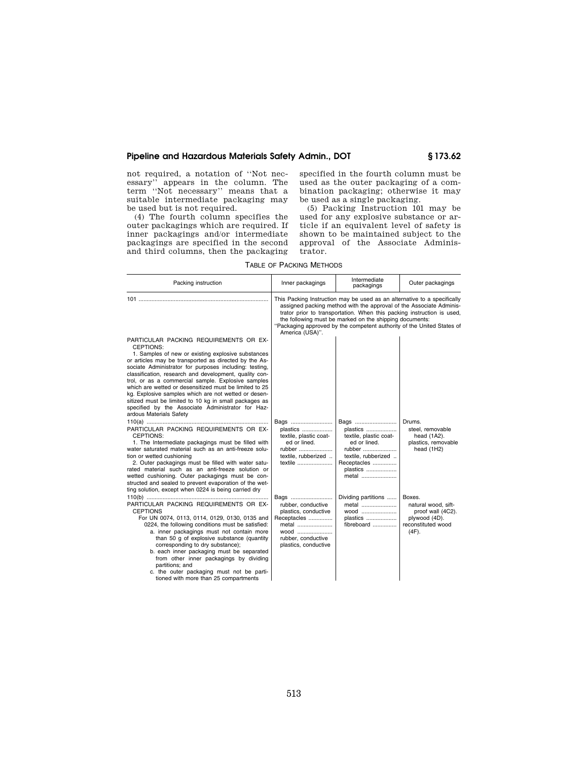not required, a notation of ''Not necessary'' appears in the column. The term ''Not necessary'' means that a suitable intermediate packaging may be used but is not required.

(4) The fourth column specifies the outer packagings which are required. If inner packagings and/or intermediate packagings are specified in the second and third columns, then the packaging specified in the fourth column must be used as the outer packaging of a combination packaging; otherwise it may be used as a single packaging.

(5) Packing Instruction 101 may be used for any explosive substance or article if an equivalent level of safety is shown to be maintained subject to the approval of the Associate Administrator.

|  |  |  | TABLE OF PACKING METHODS |
|--|--|--|--------------------------|
|--|--|--|--------------------------|

| Packing instruction                                                                                                                                                                                                                                                                                                                                                                                                                                                                                                                                                                                     | Inner packagings                                                                                                                 | Intermediate<br>packagings                                                                                                                                                                                                                                                                                                                                     | Outer packagings                                                                                      |
|---------------------------------------------------------------------------------------------------------------------------------------------------------------------------------------------------------------------------------------------------------------------------------------------------------------------------------------------------------------------------------------------------------------------------------------------------------------------------------------------------------------------------------------------------------------------------------------------------------|----------------------------------------------------------------------------------------------------------------------------------|----------------------------------------------------------------------------------------------------------------------------------------------------------------------------------------------------------------------------------------------------------------------------------------------------------------------------------------------------------------|-------------------------------------------------------------------------------------------------------|
|                                                                                                                                                                                                                                                                                                                                                                                                                                                                                                                                                                                                         | America (USA)".                                                                                                                  | This Packing Instruction may be used as an alternative to a specifically<br>assigned packing method with the approval of the Associate Adminis-<br>trator prior to transportation. When this packing instruction is used,<br>the following must be marked on the shipping documents:<br>"Packaging approved by the competent authority of the United States of |                                                                                                       |
| PARTICULAR PACKING REQUIREMENTS OR EX-<br>CEPTIONS:<br>1. Samples of new or existing explosive substances<br>or articles may be transported as directed by the As-<br>sociate Administrator for purposes including: testing,<br>classification, research and development, quality con-<br>trol, or as a commercial sample. Explosive samples<br>which are wetted or desensitized must be limited to 25<br>kg. Explosive samples which are not wetted or desen-<br>sitized must be limited to 10 kg in small packages as<br>specified by the Associate Administrator for Haz-<br>ardous Materials Safety |                                                                                                                                  |                                                                                                                                                                                                                                                                                                                                                                |                                                                                                       |
| PARTICULAR PACKING REQUIREMENTS OR EX-<br><b>CEPTIONS:</b><br>1. The Intermediate packagings must be filled with<br>water saturated material such as an anti-freeze solu-<br>tion or wetted cushioning<br>2. Outer packagings must be filled with water satu-<br>rated material such as an anti-freeze solution or<br>wetted cushioning. Outer packagings must be con-<br>structed and sealed to prevent evaporation of the wet-<br>ting solution, except when 0224 is being carried dry                                                                                                                | Bags<br>plastics<br>textile, plastic coat-<br>ed or lined.<br>rubber<br>textile, rubberized<br>textile                           | Bags<br>plastics<br>textile, plastic coat-<br>ed or lined.<br>rubber<br>textile, rubberized<br>Receptacles<br>plastics<br>metal                                                                                                                                                                                                                                | Drums.<br>steel, removable<br>head (1A2).<br>plastics, removable<br>head (1H2)                        |
| PARTICULAR PACKING REQUIREMENTS OR EX-<br><b>CEPTIONS</b><br>For UN 0074, 0113, 0114, 0129, 0130, 0135 and<br>0224, the following conditions must be satisfied:<br>a. inner packagings must not contain more<br>than 50 g of explosive substance (quantity<br>corresponding to dry substance);<br>b. each inner packaging must be separated<br>from other inner packagings by dividing<br>partitions: and<br>c. the outer packaging must not be parti-<br>tioned with more than 25 compartments                                                                                                         | Bags<br>rubber, conductive<br>plastics, conductive<br>Receptacles<br>metal<br>wood<br>rubber, conductive<br>plastics, conductive | Dividing partitions<br>metal<br>wood<br>plastics<br>fibreboard                                                                                                                                                                                                                                                                                                 | Boxes.<br>natural wood, sift-<br>proof wall (4C2).<br>plywood (4D).<br>reconstituted wood<br>$(4F)$ . |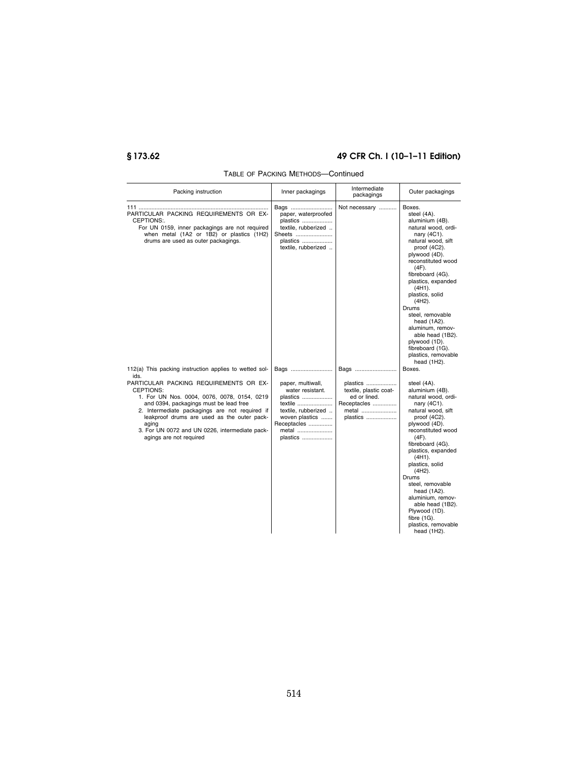# **§ 173.62 49 CFR Ch. I (10–1–11 Edition)**

|  | TABLE OF PACKING METHODS-Continued |
|--|------------------------------------|
|--|------------------------------------|

| Packing instruction                                                                                                                                                                                                                                                                                                                                                                                          | Inner packagings                                                                                                                                  | Intermediate<br>packagings                                                                     | Outer packagings                                                                                                                                                                                                                                                                                                                                                                                                        |
|--------------------------------------------------------------------------------------------------------------------------------------------------------------------------------------------------------------------------------------------------------------------------------------------------------------------------------------------------------------------------------------------------------------|---------------------------------------------------------------------------------------------------------------------------------------------------|------------------------------------------------------------------------------------------------|-------------------------------------------------------------------------------------------------------------------------------------------------------------------------------------------------------------------------------------------------------------------------------------------------------------------------------------------------------------------------------------------------------------------------|
| PARTICULAR PACKING REQUIREMENTS OR EX-<br><b>CEPTIONS:.</b><br>For UN 0159, inner packagings are not required<br>when metal (1A2 or 1B2) or plastics (1H2)<br>drums are used as outer packagings.                                                                                                                                                                                                            | Bags<br>paper, waterproofed<br>plastics<br>textile, rubberized<br>Sheets<br>plastics<br>textile, rubberized                                       | Not necessary                                                                                  | Boxes.<br>steel (4A).<br>aluminium (4B).<br>natural wood, ordi-<br>nary (4C1).<br>natural wood, sift<br>proof (4C2).<br>plywood (4D).<br>reconstituted wood<br>$(4F)$ .<br>fibreboard (4G).<br>plastics, expanded<br>(4H1).<br>plastics, solid<br>(4H2).<br>Drums<br>steel, removable<br>head (1A2).<br>aluminum, remov-<br>able head (1B2).<br>plywood (1D).<br>fibreboard (1G).<br>plastics, removable<br>head (1H2). |
| 112(a) This packing instruction applies to wetted sol-<br>ids.<br>PARTICULAR PACKING REQUIREMENTS OR EX-<br><b>CEPTIONS:</b><br>1. For UN Nos. 0004, 0076, 0078, 0154, 0219<br>and 0394, packagings must be lead free<br>2. Intermediate packagings are not required if<br>leakproof drums are used as the outer pack-<br>aging<br>3. For UN 0072 and UN 0226, intermediate pack-<br>agings are not required | Bags<br>paper, multiwall,<br>water resistant.<br>plastics<br>textile<br>textile, rubberized<br>woven plastics<br>Receptacles<br>metal<br>plastics | Bags<br>plastics<br>textile, plastic coat-<br>ed or lined.<br>Receptacles<br>metal<br>plastics | Boxes.<br>steel (4A).<br>aluminium (4B).<br>natural wood, ordi-<br>nary (4C1).<br>natural wood, sift<br>proof (4C2).<br>plywood (4D).<br>reconstituted wood<br>(4F).<br>fibreboard (4G).<br>plastics, expanded<br>(4H1).<br>plastics, solid<br>(4H2).<br>Drums<br>steel, removable<br>head (1A2).<br>aluminium, remov-<br>able head (1B2).<br>Plywood (1D).<br>fibre $(1G)$ .<br>plastics, removable<br>head (1H2).     |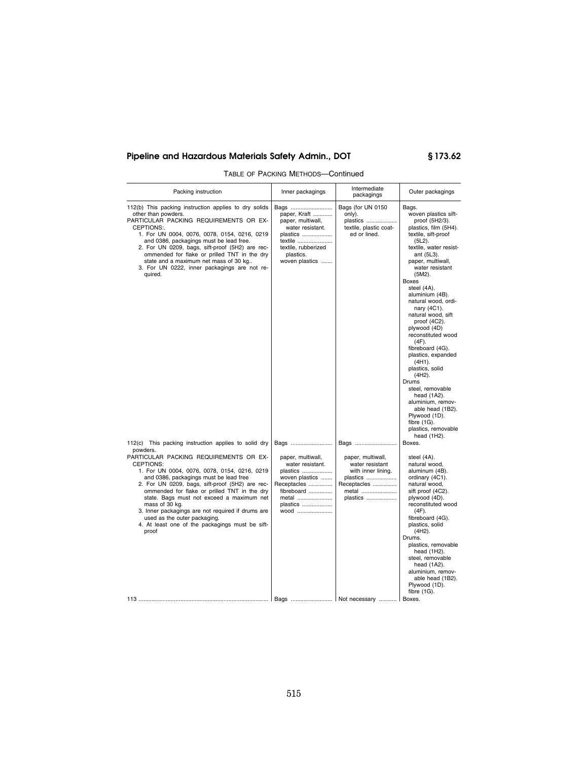| Packing instruction                                                                                                                                                                                                                                                                                                                                                                                                                                                     | Inner packagings                                                                                                                           | Intermediate<br>packagings                                                                                 | Outer packagings                                                                                                                                                                                                                                                                                                                                                                                                                                                                                                                                                                                                                   |
|-------------------------------------------------------------------------------------------------------------------------------------------------------------------------------------------------------------------------------------------------------------------------------------------------------------------------------------------------------------------------------------------------------------------------------------------------------------------------|--------------------------------------------------------------------------------------------------------------------------------------------|------------------------------------------------------------------------------------------------------------|------------------------------------------------------------------------------------------------------------------------------------------------------------------------------------------------------------------------------------------------------------------------------------------------------------------------------------------------------------------------------------------------------------------------------------------------------------------------------------------------------------------------------------------------------------------------------------------------------------------------------------|
| 112(b) This packing instruction applies to dry solids<br>other than powders.<br>PARTICULAR PACKING REQUIREMENTS OR EX-<br>CEPTIONS:<br>1. For UN 0004, 0076, 0078, 0154, 0216, 0219<br>and 0386, packagings must be lead free.<br>2. For UN 0209, bags, sift-proof (5H2) are rec-<br>ommended for flake or prilled TNT in the dry<br>state and a maximum net mass of 30 kg<br>3. For UN 0222, inner packagings are not re-<br>quired.                                   | Bags<br>paper, Kraft<br>paper, multiwall,<br>water resistant.<br>plastics<br>textile<br>textile, rubberized<br>plastics.<br>woven plastics | Bags (for UN 0150<br>only).<br>plastics<br>textile, plastic coat-<br>ed or lined.                          | Bags.<br>woven plastics sift-<br>proof (5H2/3).<br>plastics, film (5H4).<br>textile, sift-proof<br>(5L2).<br>textile, water resist-<br>ant (5L3).<br>paper, multiwall,<br>water resistant<br>(5M2).<br><b>Boxes</b><br>steel (4A).<br>aluminium (4B).<br>natural wood, ordi-<br>nary (4C1).<br>natural wood, sift<br>proof $(4C2)$ .<br>plywood (4D)<br>reconstituted wood<br>(4F).<br>fibreboard (4G).<br>plastics, expanded<br>(4H1).<br>plastics, solid<br>(4H2).<br>Drums<br>steel, removable<br>head (1A2).<br>aluminium, remov-<br>able head (1B2).<br>Plywood (1D).<br>fibre $(1G)$ .<br>plastics, removable<br>head (1H2). |
| 112(c) This packing instruction applies to solid dry<br>powders.                                                                                                                                                                                                                                                                                                                                                                                                        | Bags                                                                                                                                       | Bags                                                                                                       | Boxes.                                                                                                                                                                                                                                                                                                                                                                                                                                                                                                                                                                                                                             |
| PARTICULAR PACKING REQUIREMENTS OR EX-<br><b>CEPTIONS:</b><br>1. For UN 0004, 0076, 0078, 0154, 0216, 0219<br>and 0386, packagings must be lead free<br>2. For UN 0209, bags, sift-proof (5H2) are rec-<br>ommended for flake or prilled TNT in the dry<br>state. Bags must not exceed a maximum net<br>mass of 30 kg.<br>3. Inner packagings are not required if drums are<br>used as the outer packaging.<br>4. At least one of the packagings must be sift-<br>proof | paper, multiwall,<br>water resistant.<br>plastics<br>woven plastics<br>Receptacles<br>fibreboard<br>metal<br>plastics<br>wood              | paper, multiwall,<br>water resistant<br>with inner lining.<br>plastics<br>Receptacles<br>metal<br>plastics | steel (4A).<br>natural wood,<br>aluminum (4B).<br>ordinary (4C1).<br>natural wood,<br>sift proof (4C2).<br>plywood (4D).<br>reconstituted wood<br>$(4F)$ .<br>fibreboard (4G).<br>plastics, solid<br>(4H2).<br>Drums.<br>plastics, removable<br>head (1H2).<br>steel, removable<br>head (1A2).<br>aluminium, remov-<br>able head (1B2).<br>Plywood (1D).<br>fibre $(1G)$ .                                                                                                                                                                                                                                                         |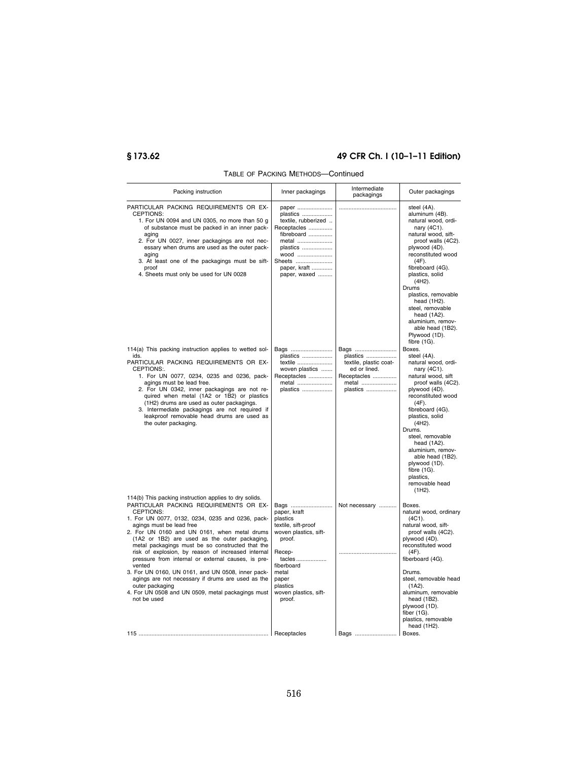# **§ 173.62 49 CFR Ch. I (10–1–11 Edition)**

|  | TABLE OF PACKING METHODS-Continued |  |
|--|------------------------------------|--|
|  |                                    |  |

| Packing instruction                                                                                                                                                                                                                                                                                                                                                                                                                                                                                                                                                                                                                                                              | Inner packagings                                                                                                                                                                              | Intermediate<br>packagings                                                                     | Outer packagings                                                                                                                                                                                                                                                                                                                                                                |
|----------------------------------------------------------------------------------------------------------------------------------------------------------------------------------------------------------------------------------------------------------------------------------------------------------------------------------------------------------------------------------------------------------------------------------------------------------------------------------------------------------------------------------------------------------------------------------------------------------------------------------------------------------------------------------|-----------------------------------------------------------------------------------------------------------------------------------------------------------------------------------------------|------------------------------------------------------------------------------------------------|---------------------------------------------------------------------------------------------------------------------------------------------------------------------------------------------------------------------------------------------------------------------------------------------------------------------------------------------------------------------------------|
| PARTICULAR PACKING REQUIREMENTS OR EX-<br>CEPTIONS:<br>1. For UN 0094 and UN 0305, no more than 50 g<br>of substance must be packed in an inner pack-<br>aging<br>2. For UN 0027, inner packagings are not nec-<br>essary when drums are used as the outer pack-<br>aging<br>3. At least one of the packagings must be sift-<br>proof<br>4. Sheets must only be used for UN 0028                                                                                                                                                                                                                                                                                                 | paper<br>plastics<br>textile, rubberized<br>Receptacles<br>fibreboard<br>metal<br>plastics<br>wood<br>Sheets<br>paper, kraft<br>paper, waxed                                                  |                                                                                                | steel (4A).<br>aluminum (4B).<br>natural wood, ordi-<br>nary (4C1).<br>natural wood, sift-<br>proof walls (4C2).<br>plywood (4D).<br>reconstituted wood<br>(4F).<br>fibreboard (4G).<br>plastics, solid<br>(4H2).<br>Drums<br>plastics, removable<br>head (1H2).<br>steel, removable<br>head (1A2).<br>aluminium, remov-<br>able head (1B2).<br>Plywood (1D).<br>fibre $(1G)$ . |
| 114(a) This packing instruction applies to wetted sol-<br>ids.<br>PARTICULAR PACKING REQUIREMENTS OR EX-<br>CEPTIONS:.<br>1. For UN 0077, 0234, 0235 and 0236, pack-<br>agings must be lead free.<br>2. For UN 0342, inner packagings are not re-<br>quired when metal (1A2 or 1B2) or plastics<br>(1H2) drums are used as outer packagings.<br>3. Intermediate packagings are not required if<br>leakproof removable head drums are used as<br>the outer packaging.                                                                                                                                                                                                             | Bags<br>plastics<br>textile<br>woven plastics<br>Receptacles<br>metal<br>plastics                                                                                                             | Bags<br>plastics<br>textile, plastic coat-<br>ed or lined.<br>Receptacles<br>metal<br>plastics | Boxes.<br>steel (4A).<br>natural wood, ordi-<br>nary (4C1).<br>natural wood, sift<br>proof walls (4C2).<br>plywood (4D).<br>reconstituted wood<br>(4F).<br>fibreboard (4G).<br>plastics, solid<br>(4H2).<br>Drums.<br>steel, removable<br>head (1A2).<br>aluminium, remov-<br>able head (1B2).<br>plywood (1D).<br>fibre $(1G)$ .<br>plastics,<br>removable head<br>(1H2).      |
| 114(b) This packing instruction applies to dry solids.<br>PARTICULAR PACKING REQUIREMENTS OR EX-<br><b>CEPTIONS:</b><br>1. For UN 0077, 0132, 0234, 0235 and 0236, pack-<br>agings must be lead free<br>2. For UN 0160 and UN 0161, when metal drums<br>(1A2 or 1B2) are used as the outer packaging,<br>metal packagings must be so constructed that the<br>risk of explosion, by reason of increased internal<br>pressure from internal or external causes, is pre-<br>vented<br>3. For UN 0160, UN 0161, and UN 0508, inner pack-<br>agings are not necessary if drums are used as the<br>outer packaging<br>4. For UN 0508 and UN 0509, metal packagings must<br>not be used | Bags<br>paper, kraft<br>plastics<br>textile, sift-proof<br>woven plastics, sift-<br>proof.<br>Recep-<br>tacles<br>fiberboard<br>metal<br>paper<br>plastics<br>woven plastics, sift-<br>proof. | Not necessary                                                                                  | Boxes.<br>natural wood, ordinary<br>(4C1).<br>natural wood, sift-<br>proof walls (4C2).<br>plywood (4D).<br>reconstituted wood<br>$(4F)$ .<br>fiberboard (4G).<br>Drums.<br>steel, removable head<br>(1A2).<br>aluminum, removable<br>head (1B2).<br>plywood (1D).<br>fiber $(1G)$ .<br>plastics, removable<br>head (1H2).                                                      |
|                                                                                                                                                                                                                                                                                                                                                                                                                                                                                                                                                                                                                                                                                  |                                                                                                                                                                                               | Bags    Boxes.                                                                                 |                                                                                                                                                                                                                                                                                                                                                                                 |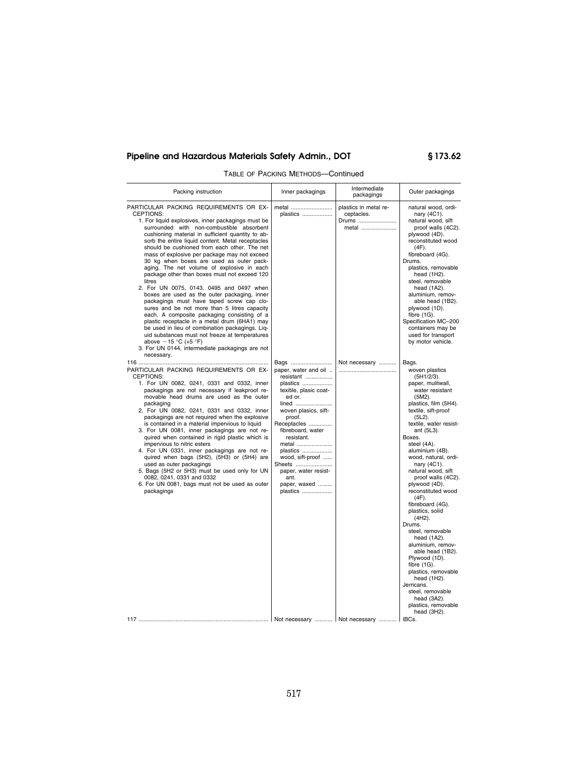| Packing instruction                                                                                                                                                                                                                                                                                                                                                                                                                                                                                                                                                                                                                                                                                                                                                                                                                                                                                                                                                                                                  | Inner packagings                                                                                                                                                                                                                                                                                      | Intermediate<br>packagings                            | Outer packagings                                                                                                                                                                                                                                                                                                                                                                                                                                                                                                                                                                                                                                |
|----------------------------------------------------------------------------------------------------------------------------------------------------------------------------------------------------------------------------------------------------------------------------------------------------------------------------------------------------------------------------------------------------------------------------------------------------------------------------------------------------------------------------------------------------------------------------------------------------------------------------------------------------------------------------------------------------------------------------------------------------------------------------------------------------------------------------------------------------------------------------------------------------------------------------------------------------------------------------------------------------------------------|-------------------------------------------------------------------------------------------------------------------------------------------------------------------------------------------------------------------------------------------------------------------------------------------------------|-------------------------------------------------------|-------------------------------------------------------------------------------------------------------------------------------------------------------------------------------------------------------------------------------------------------------------------------------------------------------------------------------------------------------------------------------------------------------------------------------------------------------------------------------------------------------------------------------------------------------------------------------------------------------------------------------------------------|
| PARTICULAR PACKING REQUIREMENTS OR EX-<br><b>CEPTIONS:</b><br>1. For liquid explosives, inner packagings must be<br>surrounded with non-combustible absorbent<br>cushioning material in sufficient quantity to ab-<br>sorb the entire liquid content. Metal receptacles<br>should be cushioned from each other. The net<br>mass of explosive per package may not exceed<br>30 kg when boxes are used as outer pack-<br>aging. The net volume of explosive in each<br>package other than boxes must not exceed 120<br>litres<br>2. For UN 0075, 0143, 0495 and 0497 when<br>boxes are used as the outer packaging, inner<br>packagings must have taped screw cap clo-<br>sures and be not more than 5 litres capacity<br>each. A composite packaging consisting of a<br>plastic receptacle in a metal drum (6HA1) may<br>be used in lieu of combination packagings. Liq-<br>uid substances must not freeze at temperatures<br>above $-15$ °C (+5 °F)<br>3. For UN 0144, intermediate packagings are not<br>necessary. | metal<br>plastics                                                                                                                                                                                                                                                                                     | plastics in metal re-<br>ceptacles.<br>Drums<br>metal | natural wood, ordi-<br>nary (4C1).<br>natural wood, sift<br>proof walls (4C2).<br>plywood (4D).<br>reconstituted wood<br>$(4F)$ .<br>fibreboard (4G).<br>Drums.<br>plastics, removable<br>head (1H2).<br>steel, removable<br>head (1A2).<br>aluminium, remov-<br>able head (1B2).<br>plywood (1D).<br>fibre $(1G)$ .<br>Specification MC-200<br>containers may be<br>used for transport<br>by motor vehicle.                                                                                                                                                                                                                                    |
| PARTICULAR PACKING REQUIREMENTS OR EX-<br><b>CEPTIONS:</b><br>1. For UN 0082, 0241, 0331 and 0332, inner<br>packagings are not necessary if leakproof re-<br>movable head drums are used as the outer<br>packaging<br>2. For UN 0082, 0241, 0331 and 0332, inner<br>packagings are not required when the explosive<br>is contained in a material impervious to liquid<br>3. For UN 0081, inner packagings are not re-<br>quired when contained in rigid plastic which is<br>impervious to nitric esters<br>4. For UN 0331, inner packagings are not re-<br>quired when bags (5H2), (5H3) or (5H4) are<br>used as outer packagings<br>5. Bags (5H2 or 5H3) must be used only for UN<br>0082, 0241, 0331 and 0332<br>6. For UN 0081, bags must not be used as outer<br>packagings                                                                                                                                                                                                                                      | Bags<br>paper, water and oil<br>resistant<br>plastics<br>texitile, plasic coat-<br>ed or.<br>lined<br>woven plasics, sift-<br>proof.<br>Receptacles<br>fibreboard, water<br>resistant.<br>metal<br>plastics<br>wood, sift-proof<br>Sheets<br>paper, water resist-<br>ant.<br>paper, waxed<br>plastics | Not necessary<br>                                     | Bags.<br>woven plastics<br>(5H1/2/3).<br>paper, mulitwall,<br>water resistant<br>(5M2).<br>plastics, film (5H4).<br>textile, sift-proof<br>(5L2).<br>textile, water resist-<br>ant (5L3).<br>Boxes.<br>steel (4A).<br>aluminium (4B).<br>wood, natural, ordi-<br>nary (4C1).<br>natural wood, sift<br>proof walls (4C2).<br>plywood (4D).<br>reconstituted wood<br>(4F).<br>fibreboard (4G).<br>plastics, solid<br>$(4H2)$ .<br>Drums.<br>steel, removable<br>head (1A2).<br>aluminium, remov-<br>able head (1B2).<br>Plywood (1D).<br>fibre $(1G)$ .<br>plastics, removable<br>head (1H2).<br>Jerricans.<br>steel, removable<br>head $(3A2)$ . |
|                                                                                                                                                                                                                                                                                                                                                                                                                                                                                                                                                                                                                                                                                                                                                                                                                                                                                                                                                                                                                      |                                                                                                                                                                                                                                                                                                       |                                                       | plastics, removable<br>head $(3H2)$ .                                                                                                                                                                                                                                                                                                                                                                                                                                                                                                                                                                                                           |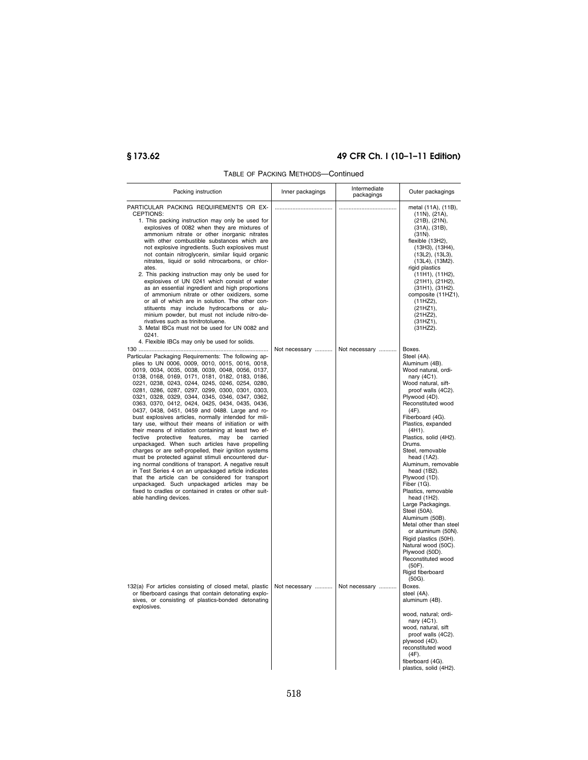# **§ 173.62 49 CFR Ch. I (10–1–11 Edition)**

| Packing instruction                                                                                                                                                                                                                                                                                                                                                                                                                                                                                                                                                                                                                                                                                                                                                                                                                                                                                                                                                                                                                                                                                                                                                                                                             | Inner packagings | Intermediate<br>packagings | Outer packagings                                                                                                                                                                                                                                                                                                                                                                                                                                                                                                                                                                                                                                                |
|---------------------------------------------------------------------------------------------------------------------------------------------------------------------------------------------------------------------------------------------------------------------------------------------------------------------------------------------------------------------------------------------------------------------------------------------------------------------------------------------------------------------------------------------------------------------------------------------------------------------------------------------------------------------------------------------------------------------------------------------------------------------------------------------------------------------------------------------------------------------------------------------------------------------------------------------------------------------------------------------------------------------------------------------------------------------------------------------------------------------------------------------------------------------------------------------------------------------------------|------------------|----------------------------|-----------------------------------------------------------------------------------------------------------------------------------------------------------------------------------------------------------------------------------------------------------------------------------------------------------------------------------------------------------------------------------------------------------------------------------------------------------------------------------------------------------------------------------------------------------------------------------------------------------------------------------------------------------------|
| PARTICULAR PACKING REQUIREMENTS OR EX-<br><b>CEPTIONS:</b><br>1. This packing instruction may only be used for<br>explosives of 0082 when they are mixtures of<br>ammonium nitrate or other inorganic nitrates<br>with other combustible substances which are<br>not explosive ingredients. Such explosives must<br>not contain nitroglycerin, similar liquid organic<br>nitrates, liquid or solid nitrocarbons, or chlor-<br>ates.<br>2. This packing instruction may only be used for<br>explosives of UN 0241 which consist of water<br>as an essential ingredient and high proportions<br>of ammonium nitrate or other oxidizers, some<br>or all of which are in solution. The other con-<br>stituents may include hydrocarbons or alu-<br>minium powder, but must not include nitro-de-<br>rivatives such as trinitrotoluene.<br>3. Metal IBCs must not be used for UN 0082 and<br>0241                                                                                                                                                                                                                                                                                                                                    |                  |                            | metal (11A), (11B),<br>(11N), (21A),<br>$(21B)$ , $(21N)$ ,<br>(31A), (31B),<br>(31N).<br>flexible (13H2),<br>(13H3), (13H4),<br>$(13L2)$ , $(13L3)$ ,<br>(13L4), (13M2).<br>rigid plastics<br>(11H1), (11H2),<br>(21H1), (21H2),<br>(31H1), (31H2).<br>composite (11HZ1),<br>(11HZ2),<br>(21HZ1),<br>(21HZ2),<br>(31HZ1),<br>$(31HZ2)$ .                                                                                                                                                                                                                                                                                                                       |
| 4. Flexible IBCs may only be used for solids.<br>Particular Packaging Requirements: The following ap-<br>plies to UN 0006, 0009, 0010, 0015, 0016, 0018,<br>0019, 0034, 0035, 0038, 0039, 0048, 0056, 0137,<br>0138, 0168, 0169, 0171, 0181, 0182, 0183, 0186,<br>0221, 0238, 0243, 0244, 0245, 0246, 0254, 0280,<br>0281, 0286, 0287, 0297, 0299, 0300, 0301, 0303,<br>0321, 0328, 0329, 0344, 0345, 0346, 0347, 0362,<br>0363, 0370, 0412, 0424, 0425, 0434, 0435, 0436,<br>0437, 0438, 0451, 0459 and 0488. Large and ro-<br>bust explosives articles, normally intended for mili-<br>tary use, without their means of initiation or with<br>their means of initiation containing at least two ef-<br>fective protective features,<br>may be carried<br>unpackaged. When such articles have propelling<br>charges or are self-propelled, their ignition systems<br>must be protected against stimuli encountered dur-<br>ing normal conditions of transport. A negative result<br>in Test Series 4 on an unpackaged article indicates<br>that the article can be considered for transport<br>unpackaged. Such unpackaged articles may be<br>fixed to cradles or contained in crates or other suit-<br>able handling devices. | Not necessary    | Not necessary              | Boxes.<br>Steel (4A).<br>Aluminum (4B).<br>Wood natural, ordi-<br>nary (4C1).<br>Wood natural, sift-<br>proof walls (4C2).<br>Plywood (4D).<br>Reconstituted wood<br>(4F).<br>Fiberboard (4G).<br>Plastics, expanded<br>(4H1).<br>Plastics, solid (4H2).<br>Drums.<br>Steel, removable<br>head (1A2).<br>Aluminum, removable<br>head (1B2).<br>Plywood (1D).<br>Fiber (1G).<br>Plastics, removable<br>head (1H2).<br>Large Packagings.<br>Steel (50A).<br>Aluminum (50B).<br>Metal other than steel<br>or aluminum (50N).<br>Rigid plastics (50H).<br>Natural wood (50C).<br>Plywood (50D).<br>Reconstituted wood<br>$(50F)$ .<br>Rigid fiberboard<br>$(50G)$ . |
| 132(a) For articles consisting of closed metal, plastic<br>or fiberboard casings that contain detonating explo-<br>sives, or consisting of plastics-bonded detonating<br>explosives.                                                                                                                                                                                                                                                                                                                                                                                                                                                                                                                                                                                                                                                                                                                                                                                                                                                                                                                                                                                                                                            | Not necessary    | Not necessary              | Boxes.<br>steel (4A).<br>aluminum (4B).<br>wood, natural; ordi-<br>nary (4C1).<br>wood, natural, sift<br>proof walls (4C2).<br>plywood (4D).<br>reconstituted wood<br>$(4F)$ .<br>fiberboard (4G).<br>plastics, solid (4H2).                                                                                                                                                                                                                                                                                                                                                                                                                                    |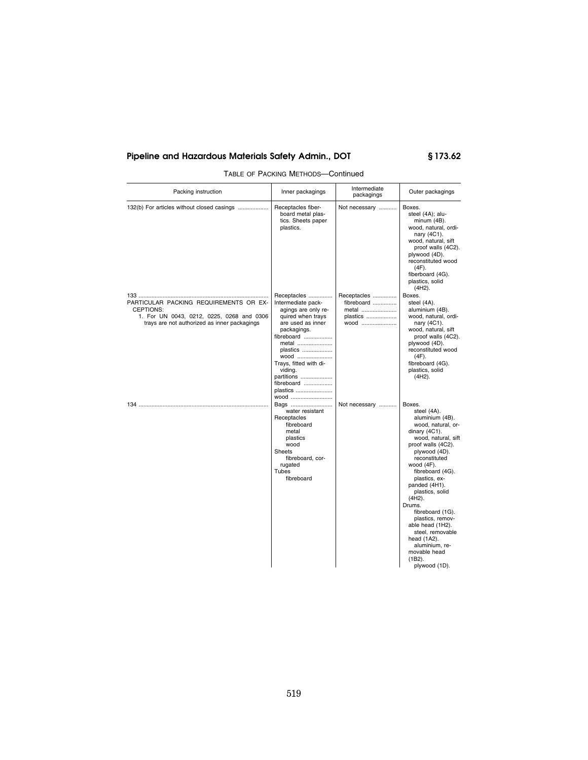| Packing instruction                                                                                                                                     | Inner packagings                                                                                                                                                                                                                                  | Intermediate<br>packagings                             | Outer packagings                                                                                                                                                                                                                                                                                                                                                                                                                         |
|---------------------------------------------------------------------------------------------------------------------------------------------------------|---------------------------------------------------------------------------------------------------------------------------------------------------------------------------------------------------------------------------------------------------|--------------------------------------------------------|------------------------------------------------------------------------------------------------------------------------------------------------------------------------------------------------------------------------------------------------------------------------------------------------------------------------------------------------------------------------------------------------------------------------------------------|
| 132(b) For articles without closed casings                                                                                                              | Receptacles fiber-<br>board metal plas-<br>tics. Sheets paper<br>plastics.                                                                                                                                                                        | Not necessary                                          | Boxes.<br>steel (4A); alu-<br>minum $(4B)$ .<br>wood, natural, ordi-<br>nary (4C1).<br>wood, natural, sift<br>proof walls (4C2).<br>plywood (4D).<br>reconstituted wood<br>$(4F)$ .<br>fiberboard (4G).<br>plastics, solid<br>(4H2).                                                                                                                                                                                                     |
| PARTICULAR PACKING REQUIREMENTS OR EX-<br><b>CEPTIONS:</b><br>1. For UN 0043, 0212, 0225, 0268 and 0306<br>trays are not authorized as inner packagings | Receptacles<br>Intermediate pack-<br>agings are only re-<br>quired when trays<br>are used as inner<br>packagings.<br>fibreboard<br>metal<br>plastics<br>wood<br>Trays, fitted with di-<br>viding.<br>partitions<br>fibreboard<br>plastics<br>wood | Receptacles<br>fibreboard<br>metal<br>plastics<br>wood | Boxes.<br>steel (4A).<br>aluminium (4B).<br>wood, natural, ordi-<br>nary (4C1).<br>wood, natural, sift<br>proof walls (4C2).<br>plywood (4D).<br>reconstituted wood<br>$(4F)$ .<br>fibreboard (4G).<br>plastics, solid<br>(4H2).                                                                                                                                                                                                         |
|                                                                                                                                                         | Bags<br>water resistant<br>Receptacles<br>fibreboard<br>metal<br>plastics<br>wood<br>Sheets<br>fibreboard, cor-<br>rugated<br>Tubes<br>fibreboard                                                                                                 | Not necessary                                          | Boxes.<br>steel (4A).<br>aluminium (4B).<br>wood, natural, or-<br>dinary $(4C1)$ .<br>wood, natural, sift<br>proof walls (4C2).<br>plywood (4D).<br>reconstituted<br>wood (4F).<br>fibreboard (4G).<br>plastics, ex-<br>panded (4H1).<br>plastics, solid<br>(4H2).<br>Drums.<br>fibreboard (1G).<br>plastics, remov-<br>able head (1H2).<br>steel, removable<br>head (1A2).<br>aluminium, re-<br>movable head<br>(1B2).<br>plywood (1D). |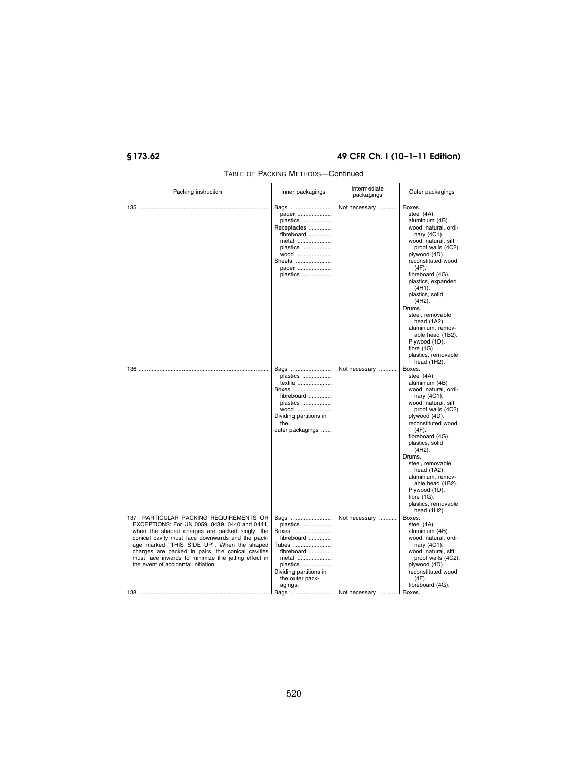# **§ 173.62 49 CFR Ch. I (10–1–11 Edition)**

| Packing instruction                                                                                                                                                                                                                                                                                                                                                                            | Inner packagings                                                                                                                            | Intermediate                | Outer packagings                                                                                                                                                                                                                                                                                                                                                                                              |
|------------------------------------------------------------------------------------------------------------------------------------------------------------------------------------------------------------------------------------------------------------------------------------------------------------------------------------------------------------------------------------------------|---------------------------------------------------------------------------------------------------------------------------------------------|-----------------------------|---------------------------------------------------------------------------------------------------------------------------------------------------------------------------------------------------------------------------------------------------------------------------------------------------------------------------------------------------------------------------------------------------------------|
|                                                                                                                                                                                                                                                                                                                                                                                                | Bags<br>paper<br>plastics<br>Receptacles<br>fibreboard<br>metal<br>plastics<br>wood<br>Sheets<br>paper<br>plastics                          | packagings<br>Not necessary | Boxes.<br>steel (4A).<br>aluminium (4B).<br>wood, natural, ordi-<br>nary (4C1).<br>wood, natural, sift<br>proof walls (4C2).<br>plywood (4D).<br>reconstituted wood<br>(4F).<br>fibreboard (4G).<br>plastics, expanded<br>(4H1).<br>plastics, solid<br>(4H2).<br>Drums.<br>steel, removable<br>head (1A2).<br>aluminium, remov-<br>able head (1B2).<br>Plywood (1D).<br>fibre $(1G)$ .<br>plastics, removable |
|                                                                                                                                                                                                                                                                                                                                                                                                | Bags<br>plastics<br>textile<br>Boxes.<br>fibreboard<br>plastics<br>wood<br>Dividing partitions in<br>the.<br>outer packagings               | Not necessary               | head (1H2).<br>Boxes.<br>steel (4A).<br>aluminium (4B)<br>wood, natural, ordi-<br>nary (4C1).<br>wood, natural, sift<br>proof walls (4C2).<br>plywood (4D).<br>reconstituted wood<br>(4F).<br>fibreboard (4G).<br>plastics, solid<br>(4H2).<br>Drums.<br>steel, removable<br>head (1A2).<br>aluminium, remov-<br>able head (1B2).<br>Plywood (1D).<br>fibre $(1G)$ .<br>plastics, removable<br>head (1H2).    |
| 137 PARTICULAR PACKING REQUIREMENTS OR<br>EXCEPTIONS: For UN 0059, 0439, 0440 and 0441,<br>when the shaped charges are packed singly, the<br>conical cavity must face downwards and the pack-<br>age marked "THIS SIDE UP". When the shaped<br>charges are packed in pairs, the conical cavities<br>must face inwards to minimize the jetting effect in<br>the event of accidental initiation. | Bags<br>plastics<br>Boxes<br>fibreboard<br>Tubes<br>fibreboard<br>metal<br>plastics<br>Dividing partitions in<br>the outer pack-<br>agings. | Not necessary               | Boxes.<br>steel (4A).<br>aluminium (4B).<br>wood, natural, ordi-<br>nary (4C1).<br>wood, natural, sift<br>proof walls (4C2).<br>plywood (4D).<br>reconstituted wood<br>(4F).<br>fibreboard (4G).                                                                                                                                                                                                              |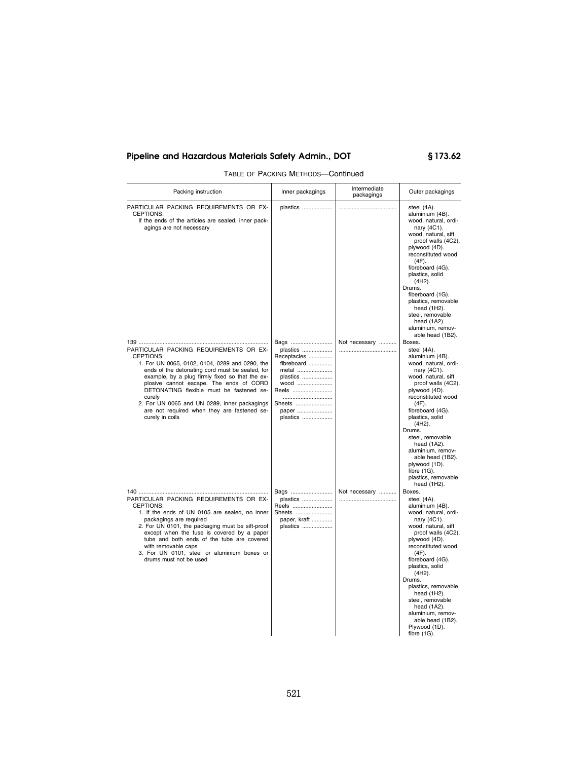| Packing instruction                                                                                                                                                                                                                                                                                                                                                                     | Inner packagings                                                      | Intermediate          | Outer packagings                                                                                                                                                                                                                                                                                                                                                                                                                           |
|-----------------------------------------------------------------------------------------------------------------------------------------------------------------------------------------------------------------------------------------------------------------------------------------------------------------------------------------------------------------------------------------|-----------------------------------------------------------------------|-----------------------|--------------------------------------------------------------------------------------------------------------------------------------------------------------------------------------------------------------------------------------------------------------------------------------------------------------------------------------------------------------------------------------------------------------------------------------------|
|                                                                                                                                                                                                                                                                                                                                                                                         |                                                                       | packagings            |                                                                                                                                                                                                                                                                                                                                                                                                                                            |
| PARTICULAR PACKING REQUIREMENTS OR EX-<br>CEPTIONS:<br>If the ends of the articles are sealed, inner pack-<br>agings are not necessary<br>PARTICULAR PACKING REQUIREMENTS OR EX-<br><b>CEPTIONS:</b><br>1. For UN 0065, 0102, 0104, 0289 and 0290, the                                                                                                                                  | plastics<br>Bags<br>plastics<br>Receptacles<br>fibreboard             | <br>Not necessary<br> | steel (4A).<br>aluminium (4B).<br>wood, natural, ordi-<br>nary (4C1).<br>wood, natural, sift<br>proof walls (4C2).<br>plywood (4D).<br>reconstituted wood<br>(4F).<br>fibreboard (4G).<br>plastics, solid<br>$(4H2)$ .<br>Drums.<br>fiberboard (1G).<br>plastics, removable<br>head (1H2).<br>steel, removable<br>head (1A2).<br>aluminium, remov-<br>able head (1B2).<br>Boxes.<br>steel (4A).<br>aluminium (4B).<br>wood, natural, ordi- |
| ends of the detonating cord must be sealed, for<br>example, by a plug firmly fixed so that the ex-<br>plosive cannot escape. The ends of CORD<br>DETONATING flexible must be fastened se-<br>curely<br>2. For UN 0065 and UN 0289, inner packagings<br>are not required when they are fastened se-<br>curely in coils                                                                   | metal<br>plastics<br>wood<br>Reels<br><br>Sheets<br>paper<br>plastics |                       | nary (4C1).<br>wood, natural, sift<br>proof walls (4C2).<br>plywood (4D).<br>reconstituted wood<br>(4F).<br>fibreboard (4G).<br>plastics, solid<br>(4H2).<br>Drums.<br>steel, removable<br>head (1A2).<br>aluminium, remov-<br>able head (1B2).<br>plywood (1D).<br>fibre $(1G)$ .<br>plastics, removable<br>head (1H2).                                                                                                                   |
| PARTICULAR PACKING REQUIREMENTS OR EX-<br><b>CEPTIONS:</b><br>1. If the ends of UN 0105 are sealed, no inner<br>packagings are required<br>2. For UN 0101, the packaging must be sift-proof<br>except when the fuse is covered by a paper<br>tube and both ends of the tube are covered<br>with removable caps<br>3. For UN 0101, steel or aluminium boxes or<br>drums must not be used | Bags<br>plastics<br>Reels<br>Sheets<br>paper, kraft<br>plastics       | Not necessary<br>     | Boxes.<br>steel (4A).<br>aluminium (4B).<br>wood, natural, ordi-<br>nary (4C1).<br>wood, natural, sift<br>proof walls (4C2).<br>plywood (4D).<br>reconstituted wood<br>(4F).<br>fibreboard (4G).<br>plastics, solid<br>(4H2).<br>Drums.<br>plastics, removable<br>head (1H2).<br>steel, removable<br>head (1A2).<br>aluminium, remov-<br>able head (1B2).<br>Plywood (1D).<br>fibre $(1G)$ .                                               |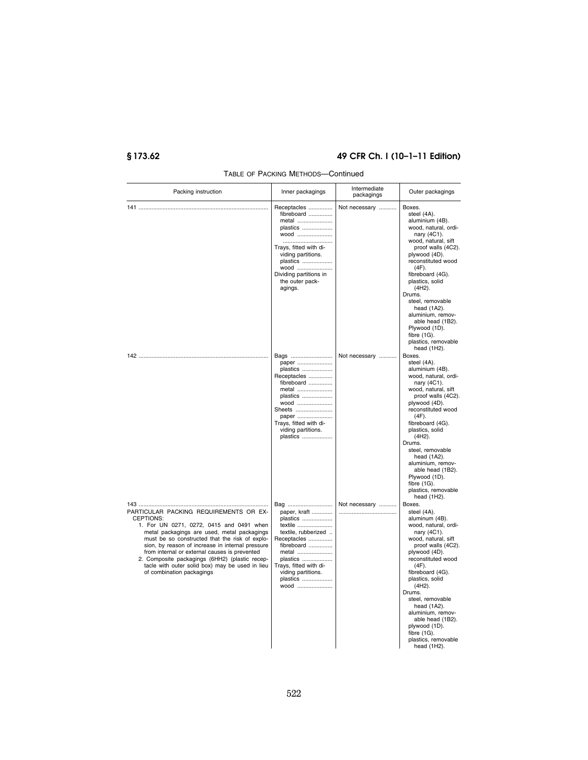# **§ 173.62 49 CFR Ch. I (10–1–11 Edition)**

| Packing instruction                                                                                                                                                                                                                                                                                                                                                                                                                            | Inner packagings                                                                                                                                                                        | Intermediate      | Outer packagings                                                                                                                                                                                                                                                                                                                                                                             |
|------------------------------------------------------------------------------------------------------------------------------------------------------------------------------------------------------------------------------------------------------------------------------------------------------------------------------------------------------------------------------------------------------------------------------------------------|-----------------------------------------------------------------------------------------------------------------------------------------------------------------------------------------|-------------------|----------------------------------------------------------------------------------------------------------------------------------------------------------------------------------------------------------------------------------------------------------------------------------------------------------------------------------------------------------------------------------------------|
|                                                                                                                                                                                                                                                                                                                                                                                                                                                |                                                                                                                                                                                         | packagings        |                                                                                                                                                                                                                                                                                                                                                                                              |
|                                                                                                                                                                                                                                                                                                                                                                                                                                                | Receptacles<br>fibreboard<br>metal<br>plastics<br>wood<br>Trays, fitted with di-<br>viding partitions.<br>plastics<br>wood<br>Dividing partitions in<br>the outer pack-<br>agings.      | Not necessary     | Boxes.<br>steel (4A).<br>aluminium (4B).<br>wood, natural, ordi-<br>nary (4C1).<br>wood, natural, sift<br>proof walls (4C2).<br>plywood (4D).<br>reconstituted wood<br>(4F).<br>fibreboard (4G).<br>plastics, solid<br>(4H2).<br>Drums.<br>steel, removable<br>head (1A2).<br>aluminium, remov-<br>able head (1B2).<br>Plywood (1D).<br>fibre $(1G)$ .<br>plastics, removable<br>head (1H2). |
|                                                                                                                                                                                                                                                                                                                                                                                                                                                | Bags<br>paper<br>plastics<br>Receptacles<br>fibreboard<br>metal<br>plastics<br>wood<br>Sheets<br>paper<br>Trays, fitted with di-<br>viding partitions.<br>plastics                      | Not necessary     | Boxes.<br>steel (4A).<br>aluminium (4B).<br>wood, natural, ordi-<br>nary (4C1).<br>wood, natural, sift<br>proof walls (4C2).<br>plywood (4D).<br>reconstituted wood<br>(4F).<br>fibreboard (4G).<br>plastics, solid<br>(4H2).<br>Drums.<br>steel, removable<br>head (1A2).<br>aluminium, remov-<br>able head (1B2).<br>Plywood (1D).<br>fibre $(1G)$ .<br>plastics, removable<br>head (1H2). |
| PARTICULAR PACKING REQUIREMENTS OR EX-<br><b>CEPTIONS:</b><br>1. For UN 0271, 0272, 0415 and 0491 when<br>metal packagings are used, metal packagings<br>must be so constructed that the risk of explo-<br>sion, by reason of increase in internal pressure<br>from internal or external causes is prevented<br>2. Composite packagings (6HH2) (plastic recep-<br>tacle with outer solid box) may be used in lieu<br>of combination packagings | Bag<br>paper, kraft<br>plastics<br>textile<br>textile, rubberized<br>Receptacles<br>fibreboard<br>metal<br>plastics<br>Trays, fitted with di-<br>viding partitions.<br>plastics<br>wood | Not necessary<br> | Boxes.<br>steel (4A).<br>aluminum (4B).<br>wood, natural, ordi-<br>nary (4C1).<br>wood, natural, sift<br>proof walls (4C2).<br>plywood (4D).<br>reconstituted wood<br>(4F).<br>fibreboard (4G).<br>plastics, solid<br>(4H2).<br>Drums.<br>steel, removable<br>head (1A2).<br>aluminium, remov-<br>able head (1B2).<br>plywood (1D).<br>fibre $(1G)$ .<br>plastics, removable<br>head (1H2).  |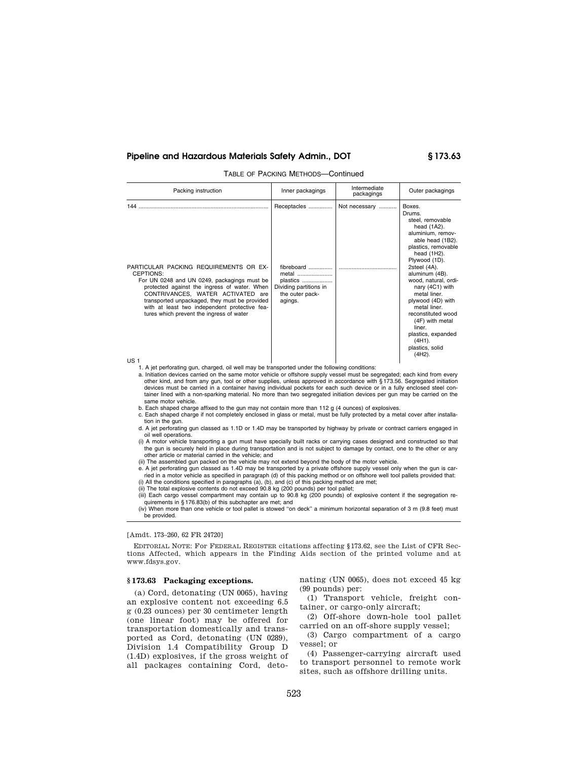TABLE OF PACKING METHODS—Continued

| Packing instruction                                                                                                                                                                                                                                                                                                                                 | Inner packagings                                                                                       | Intermediate<br>packagings | Outer packagings                                                                                                                                                                                                                                                                                                                                                                                         |
|-----------------------------------------------------------------------------------------------------------------------------------------------------------------------------------------------------------------------------------------------------------------------------------------------------------------------------------------------------|--------------------------------------------------------------------------------------------------------|----------------------------|----------------------------------------------------------------------------------------------------------------------------------------------------------------------------------------------------------------------------------------------------------------------------------------------------------------------------------------------------------------------------------------------------------|
| 144<br>PARTICULAR PACKING REQUIREMENTS OR EX-<br><b>CEPTIONS:</b><br>For UN 0248 and UN 0249, packagings must be<br>protected against the ingress of water. When<br>CONTRIVANCES, WATER ACTIVATED are<br>transported unpackaged, they must be provided<br>with at least two independent protective fea-<br>tures which prevent the ingress of water | Receptacles<br>fibreboard<br>metal<br>plastics<br>Dividing partitions in<br>the outer pack-<br>agings. | Not necessary              | Boxes.<br>Drums.<br>steel, removable<br>head (1A2).<br>aluminium, remov-<br>able head (1B2).<br>plastics, removable<br>head (1H2).<br>Plywood (1D).<br>2steel (4A).<br>aluminum (4B).<br>wood, natural, ordi-<br>nary (4C1) with<br>metal liner.<br>plywood (4D) with<br>metal liner.<br>reconstituted wood<br>(4F) with metal<br>liner.<br>plastics, expanded<br>(4H1).<br>plastics, solid<br>$(4H2)$ . |

US 1

1. A jet perforating gun, charged, oil well may be transported under the following conditions:

- a. Initiation devices carried on the same motor vehicle or offshore supply vessel must be segregated; each kind from every other kind, and from any gun, tool or other supplies, unless approved in accordance with § 173.56. Segregated initiation<br>devices must be carried in a container having individual pockets for each such device or in a fully e tainer lined with a non-sparking material. No more than two segregated initiation devices per gun may be carried on the same motor vehicle.
- b. Each shaped charge affixed to the gun may not contain more than 112 g (4 ounces) of explosives.
- c. Each shaped charge if not completely enclosed in glass or metal, must be fully protected by a metal cover after installation in the gun.
- d. A jet perforating gun classed as 1.1D or 1.4D may be transported by highway by private or contract carriers engaged in oil well operation
- (i) A motor vehicle transporting a gun must have specially built racks or carrying cases designed and constructed so that<br>the gun is securely held in place during transportation and is not subject to damage by contact, one other article or material carried in the vehicle; and
- (ii) The assembled gun packed on the vehicle may not extend beyond the body of the motor vehicle. e. A jet perforating gun classed as 1.4D may be transported by a private offshore supply vessel only when the gun is car-
- ried in a motor vehicle as specified in paragraph (d) of this packing method or on offshore well tool pallets provided that: (i) All the conditions specified in paragraphs (a), (b), and (c) of this packing method are met;
- (ii) The total explosive contents do not exceed 90.8 kg (200 pounds) per tool pallet;
- (iii) Each cargo vessel compartment may contain up to 90.8 kg (200 pounds) of explosive content if the segregation requirements in § 176.83(b) of this subchapter are met; and

(iv) When more than one vehicle or tool pallet is stowed ''on deck'' a minimum horizontal separation of 3 m (9.8 feet) must be provided.

[Amdt. 173–260, 62 FR 24720]

EDITORIAL NOTE: For FEDERAL REGISTER citations affecting §173.62, see the List of CFR Sections Affected, which appears in the Finding Aids section of the printed volume and at www.fdsys.gov.

## **§ 173.63 Packaging exceptions.**

(a) Cord, detonating (UN 0065), having an explosive content not exceeding 6.5 g (0.23 ounces) per 30 centimeter length (one linear foot) may be offered for transportation domestically and transported as Cord, detonating (UN 0289), Division 1.4 Compatibility Group D (1.4D) explosives, if the gross weight of all packages containing Cord, detonating (UN 0065), does not exceed 45 kg (99 pounds) per:

(1) Transport vehicle, freight container, or cargo-only aircraft;

(2) Off-shore down-hole tool pallet carried on an off-shore supply vessel;

(3) Cargo compartment of a cargo vessel; or

(4) Passenger-carrying aircraft used to transport personnel to remote work sites, such as offshore drilling units.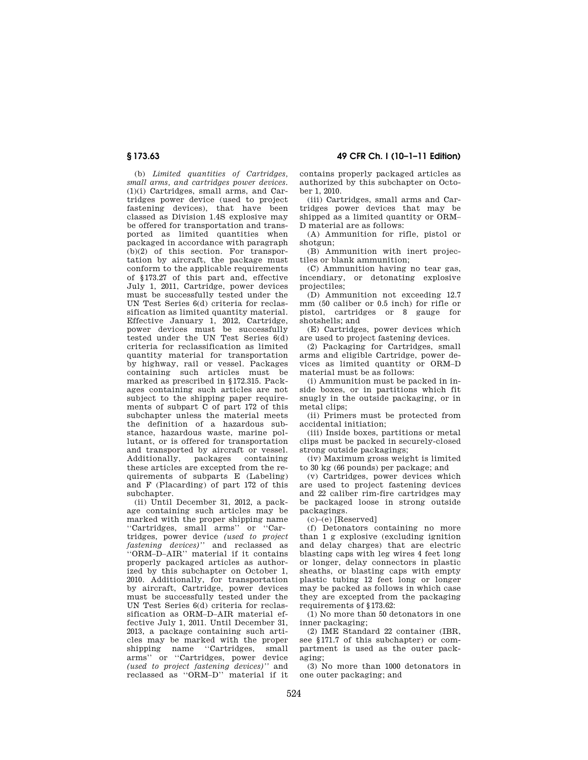(b) *Limited quantities of Cartridges, small arms, and cartridges power devices.*  (1)(i) Cartridges, small arms, and Cartridges power device (used to project fastening devices), that have been classed as Division 1.4S explosive may be offered for transportation and transported as limited quantities when packaged in accordance with paragraph (b)(2) of this section. For transportation by aircraft, the package must conform to the applicable requirements of §173.27 of this part and, effective July 1, 2011, Cartridge, power devices must be successfully tested under the UN Test Series 6(d) criteria for reclassification as limited quantity material. Effective January 1, 2012, Cartridge, power devices must be successfully tested under the UN Test Series 6(d) criteria for reclassification as limited quantity material for transportation by highway, rail or vessel. Packages containing such articles must be marked as prescribed in §172.315. Packages containing such articles are not subject to the shipping paper requirements of subpart C of part 172 of this subchapter unless the material meets the definition of a hazardous substance, hazardous waste, marine pollutant, or is offered for transportation and transported by aircraft or vessel. Additionally, packages containing these articles are excepted from the requirements of subparts E (Labeling) and F (Placarding) of part 172 of this subchapter.

(ii) Until December 31, 2012, a package containing such articles may be marked with the proper shipping name ''Cartridges, small arms'' or ''Cartridges, power device *(used to project fastening devices)''* and reclassed as ''ORM–D–AIR'' material if it contains properly packaged articles as authorized by this subchapter on October 1, 2010. Additionally, for transportation by aircraft, Cartridge, power devices must be successfully tested under the UN Test Series 6(d) criteria for reclassification as ORM–D–AIR material effective July 1, 2011. Until December 31, 2013, a package containing such articles may be marked with the proper shipping name ''Cartridges, small arms'' or ''Cartridges, power device *(used to project fastening devices)''* and reclassed as ''ORM–D'' material if it

**§ 173.63 49 CFR Ch. I (10–1–11 Edition)** 

contains properly packaged articles as authorized by this subchapter on October 1, 2010.

(iii) Cartridges, small arms and Cartridges power devices that may be shipped as a limited quantity or ORM– D material are as follows:

(A) Ammunition for rifle, pistol or shotgun;

(B) Ammunition with inert projectiles or blank ammunition;

(C) Ammunition having no tear gas, incendiary, or detonating explosive projectiles;

(D) Ammunition not exceeding 12.7 mm (50 caliber or 0.5 inch) for rifle or pistol, cartridges or 8 gauge for shotshells; and

(E) Cartridges, power devices which are used to project fastening devices.

(2) Packaging for Cartridges, small arms and eligible Cartridge, power devices as limited quantity or ORM–D material must be as follows:

(i) Ammunition must be packed in inside boxes, or in partitions which fit snugly in the outside packaging, or in metal clips;

(ii) Primers must be protected from accidental initiation;

(iii) Inside boxes, partitions or metal clips must be packed in securely-closed strong outside packagings;

(iv) Maximum gross weight is limited to 30 kg (66 pounds) per package; and

(v) Cartridges, power devices which are used to project fastening devices and 22 caliber rim-fire cartridges may be packaged loose in strong outside packagings.

 $(c)$ – $(e)$  [Reserved]

(f) Detonators containing no more than 1 g explosive (excluding ignition and delay charges) that are electric blasting caps with leg wires 4 feet long or longer, delay connectors in plastic sheaths, or blasting caps with empty plastic tubing 12 feet long or longer may be packed as follows in which case they are excepted from the packaging requirements of §173.62:

(1) No more than 50 detonators in one inner packaging;

(2) IME Standard 22 container (IBR, see §171.7 of this subchapter) or compartment is used as the outer packaging;

(3) No more than 1000 detonators in one outer packaging; and